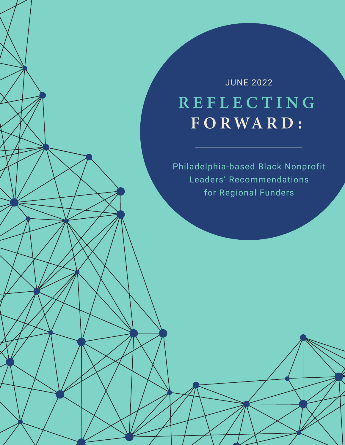# REFLECTING  $F$ ORWARD: JUNE 2022

Philadelphia-based Black Nonprofit Leaders' Recommendations for Regional Funders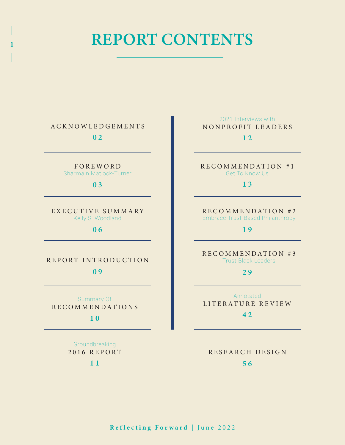# REPORT CONTENTS

ACKNOWLEDGEMENTS

1

0 2

F O R E W O R D Sharmain Matlock-Turner

0 3

E X E C U T I V E S U M M A R Y Kelly S. Woodland

0 6

0 9 REPORT INTRODUCTION

Summary Of RECOMMENDATIONS

1 0

Groundbreaking 2016 REPORT

1 1

 $12$ 2021 Interviews with NONPROFIT LEADERS

R E C O M M E N D A T I O N # 1 Get To Know Us

1 3

R E C O M M E N D A T I O N # 2 Embrace Trust-Based Philanthropy

1 9

R E C O M M E N D A T I O N # 3 Trust Black Leaders

2 9

Annotated LITERATURE REVIEW

4 2

5 6 RESEARCH DESIGN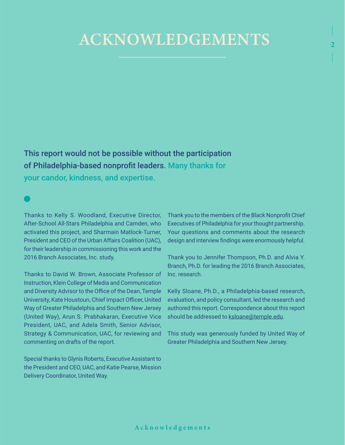# ACKNOWLEDGEMENTS

This report would not be possible without the participation of Philadelphia-based nonprofit leaders. Many thanks for

your candor, kindness, and expertise.

Thanks to Kelly S. Woodland, Executive Director, After-School All-Stars Philadelphia and Camden, who activated this project, and Sharmain Matlock-Turner, President and CEO of the Urban Affairs Coalition (UAC), for their leadership in commissioning this work and the 2016 Branch Associates, Inc. study.

Thanks to David W. Brown, Associate Professor of Instruction, Klein College of Media and Communication and Diversity Advisor to the Office of the Dean, Temple University, Kate Houstoun, Chief Impact Officer, United Way of Greater Philadelphia and Southern New Jersey (United Way), Arun S. Prabhakaran, Executive Vice President, UAC, and Adela Smith, Senior Advisor, Strategy & Communication, UAC, for reviewing and commenting on drafts of the report.

Special thanks to Glynis Roberts, Executive Assistant to the President and CEO, UAC, and Katie Pearse, Mission Delivery Coordinator, United Way.

Thank you to the members of the Black Nonprofit Chief Executives of Philadelphia for your thought partnership. Your questions and comments about the research design and interview findings were enormously helpful. 2

Thank you to Jennifer Thompson, Ph.D. and Alvia Y. Branch, Ph.D. for leading the 2016 Branch Associates, Inc. research.

Kelly Sloane, Ph.D., a Philadelphia-based research, evaluation, and policy consultant, led the research and authored this report. Correspondence about this report should be addressed to [ksloane@temple.edu](mailto:ksloane@temple.edu).

This study was generously funded by United Way of Greater Philadelphia and Southern New Jersey.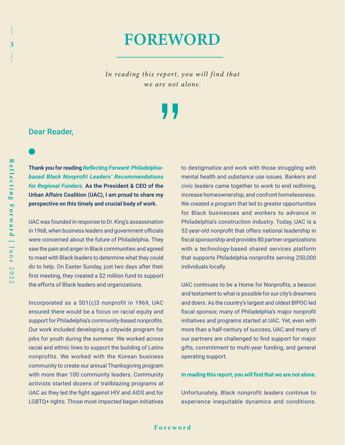# FOREWORD

In reading this report, you will find that we are not alone.

3

# Dear Reader,

**Thank you for reading** *Reflecting Forward: Philadelphiabased Black Nonprofit Leaders' Recommendations for Regional Funders.* **As the President & CEO of the Urban Affairs Coalition (UAC), I am proud to share my perspective on this timely and crucial body of work.** 

UAC was founded in response to Dr. King's assassination in 1968, when business leaders and government officials were concerned about the future of Philadelphia. They saw the pain and anger in Black communities and agreed to meet with Black leaders to determine what they could do to help. On Easter Sunday, just two days after their first meeting, they created a \$2 million fund to support the efforts of Black leaders and organizations.

Incorporated as a 501(c)3 nonprofit in 1969, UAC ensured there would be a focus on racial equity and support for Philadelphia's community-based nonprofits. Our work included developing a citywide program for jobs for youth during the summer. We worked across racial and ethnic lines to support the building of Latinx nonprofits. We worked with the Korean business community to create our annual Thanksgiving program with more than 100 community leaders. Community activists started dozens of trailblazing programs at UAC as they led the fight against HIV and AIDS and for LGBTQ+ rights. Those most impacted began initiatives

to destigmatize and work with those struggling with mental health and substance use issues. Bankers and civic leaders came together to work to end redlining, increase homeownership, and confront homelessness. We created a program that led to greater opportunities for Black businesses and workers to advance in Philadelphia's construction industry. Today, UAC is a 52-year-old nonprofit that offers national leadership in fiscal sponsorship and provides 80 partner organizations with a technology-based shared services platform that supports Philadelphia nonprofits serving 250,000 individuals locally.

UAC continues to be a Home for Nonprofits, a beacon and testament to what is possible for our city's dreamers and doers. As the country's largest and oldest BIPOC-led fiscal sponsor, many of Philadelphia's major nonprofit initiatives and programs started at UAC. Yet, even with more than a half-century of success, UAC and many of our partners are challenged to find support for major gifts, commitment to multi-year funding, and general operating support.

### **In reading this report, you will find that we are not alone.**

Unfortunately, Black nonprofit leaders continue to experience inequitable dynamics and conditions.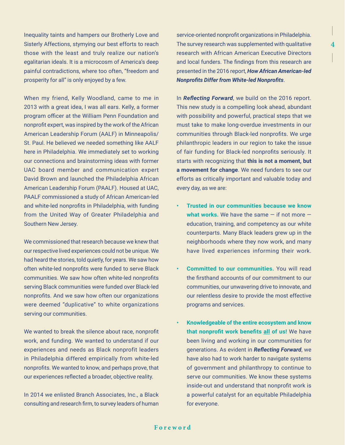Inequality taints and hampers our Brotherly Love and Sisterly Affections, stymying our best efforts to reach those with the least and truly realize our nation's egalitarian ideals. It is a microcosm of America's deep painful contradictions, where too often, "freedom and prosperity for all" is only enjoyed by a few.

When my friend, Kelly Woodland, came to me in 2013 with a great idea, I was all ears. Kelly, a former program officer at the William Penn Foundation and nonprofit expert, was inspired by the work of the African American Leadership Forum (AALF) in Minneapolis/ St. Paul. He believed we needed something like AALF here in Philadelphia. We immediately set to working our connections and brainstorming ideas with former UAC board member and communication expert David Brown and launched the Philadelphia African American Leadership Forum (PAALF). Housed at UAC, PAALF commissioned a study of African American-led and white-led nonprofits in Philadelphia, with funding from the United Way of Greater Philadelphia and Southern New Jersey.

We commissioned that research because we knew that our respective lived experiences could not be unique. We had heard the stories, told quietly, for years. We saw how often white-led nonprofits were funded to serve Black communities. We saw how often white-led nonprofits serving Black communities were funded over Black-led nonprofits. And we saw how often our organizations were deemed "duplicative" to white organizations serving our communities.

We wanted to break the silence about race, nonprofit work, and funding. We wanted to understand if our experiences and needs as Black nonprofit leaders in Philadelphia differed empirically from white-led nonprofits. We wanted to know, and perhaps prove, that our experiences reflected a broader, objective reality.

In 2014 we enlisted Branch Associates, Inc., a Black consulting and research firm, to survey leaders of human

service-oriented nonprofit organizations in Philadelphia. The survey research was supplemented with qualitative research with African American Executive Directors and local funders. The findings from this research are presented in the 2016 report, *How African American-led Nonprofits Differ from White-led Nonprofits*.

4

In *Reflecting Forward*, we build on the 2016 report. This new study is a compelling look ahead, abundant with possibility and powerful, practical steps that we must take to make long-overdue investments in our communities through Black-led nonprofits. We urge philanthropic leaders in our region to take the issue of fair funding for Black-led nonprofits seriously. It starts with recognizing that **this is not a moment, but a movement for change**. We need funders to see our efforts as critically important and valuable today and every day, as we are:

- **• Trusted in our communities because we know what works.** We have the same — if not more education, training, and competency as our white counterparts. Many Black leaders grew up in the neighborhoods where they now work, and many have lived experiences informing their work.
- **• Committed to our communities.** You will read the firsthand accounts of our commitment to our communities, our unwavering drive to innovate, and our relentless desire to provide the most effective programs and services.
- **• Knowledgeable of the entire ecosystem and know that nonprofit work benefits all of us!** We have been living and working in our communities for generations. As evident in *Reflecting Forward*, we have also had to work harder to navigate systems of government and philanthropy to continue to serve our communities. We know these systems inside-out and understand that nonprofit work is a powerful catalyst for an equitable Philadelphia for everyone.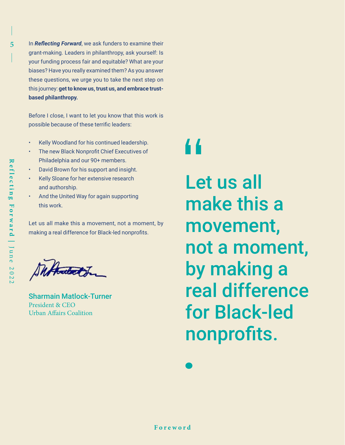5 In *Reflecting Forward*, we ask funders to examine their grant-making. Leaders in philanthropy, ask yourself: Is your funding process fair and equitable? What are your biases? Have you really examined them? As you answer these questions, we urge you to take the next step on this journey: **get to know us, trust us, and embrace trustbased philanthropy.** 

> Before I close, I want to let you know that this work is possible because of these terrific leaders:

- Kelly Woodland for his continued leadership.
- The new Black Nonprofit Chief Executives of Philadelphia and our 90+ members.
- David Brown for his support and insight.
- Kelly Sloane for her extensive research and authorship.
- And the United Way for again supporting this work.

Let us all make this a movement, not a moment, by making a real difference for Black-led nonprofits.

Duftmetot

Sharmain Matlock-Turner President & CEO Urban Affairs Coalition

# 44

Let us all make this a movement, not a moment, by making a real difference for Black-led nonprofits.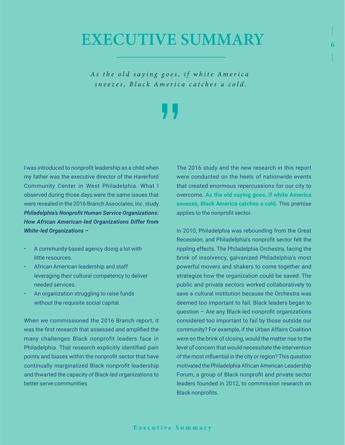# EXECUTIVE SUMMARY

As the old saying goes, if white America *sneezes, Black America catches a cold.*

I was introduced to nonprofit leadership as a child when my father was the executive director of the Haverford Community Center in West Philadelphia. What I observed during those days were the same issues that were revealed in the 2016 Branch Associates, Inc. study *Philadelphia's Nonprofit Human Service Organizations: How African American-led Organizations Differ from White-led Organizations –*

- A community-based agency doing a lot with little resources.
- African American leadership and staff leveraging their cultural competency to deliver needed services.
- An organization struggling to raise funds without the requisite social capital.

When we commissioned the 2016 Branch report, it was the first research that assessed and amplified the many challenges Black nonprofit leaders face in Philadelphia. That research explicitly identified pain points and biases within the nonprofit sector that have continually marginalized Black nonprofit leadership and thwarted the capacity of Black-led organizations to better serve communities.

The 2016 study and the new research in this report were conducted on the heels of nationwide events that created enormous repercussions for our city to overcome. **As the old saying goes, if white America sneezes, Black America catches a cold.** This premise applies to the nonprofit sector.

6

In 2010, Philadelphia was rebounding from the Great Recession, and Philadelphia's nonprofit sector felt the rippling effects. The Philadelphia Orchestra, facing the brink of insolvency, galvanized Philadelphia's most powerful movers and shakers to come together and strategize how the organization could be saved. The public and private sectors worked collaboratively to save a cultural institution because the Orchestra was deemed too important to fail. Black leaders began to question – Are any Black-led nonprofit organizations considered too important to fail by those outside our community? For example, if the Urban Affairs Coalition were on the brink of closing, would the matter rise to the level of concern that would necessitate the intervention of the most influential in the city or region? This question motivated the Philadelphia African American Leadership Forum, a group of Black nonprofit and private sector leaders founded in 2012, to commission research on Black nonprofits.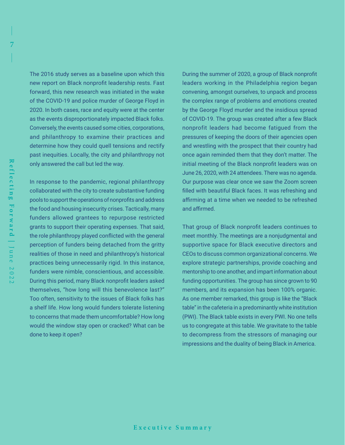7

7

The 2016 study serves as a baseline upon which this new report on Black nonprofit leadership rests. Fast forward, this new research was initiated in the wake of the COVID-19 and police murder of George Floyd in 2020. In both cases, race and equity were at the center as the events disproportionately impacted Black folks. Conversely, the events caused some cities, corporations, and philanthropy to examine their practices and determine how they could quell tensions and rectify past inequities. Locally, the city and philanthropy not only answered the call but led the way.

In response to the pandemic, regional philanthropy collaborated with the city to create substantive funding pools to support the operations of nonprofits and address the food and housing insecurity crises. Tactically, many funders allowed grantees to repurpose restricted grants to support their operating expenses. That said, the role philanthropy played conflicted with the general perception of funders being detached from the gritty realities of those in need and philanthropy's historical practices being unnecessarily rigid. In this instance, funders were nimble, conscientious, and accessible. During this period, many Black nonprofit leaders asked themselves, "how long will this benevolence last?" Too often, sensitivity to the issues of Black folks has a shelf life. How long would funders tolerate listening to concerns that made them uncomfortable? How long would the window stay open or cracked? What can be done to keep it open?

During the summer of 2020, a group of Black nonprofit leaders working in the Philadelphia region began convening, amongst ourselves, to unpack and process the complex range of problems and emotions created by the George Floyd murder and the insidious spread of COVID-19. The group was created after a few Black nonprofit leaders had become fatigued from the pressures of keeping the doors of their agencies open and wrestling with the prospect that their country had once again reminded them that they don't matter. The initial meeting of the Black nonprofit leaders was on June 26, 2020, with 24 attendees. There was no agenda. Our purpose was clear once we saw the Zoom screen filled with beautiful Black faces. It was refreshing and affirming at a time when we needed to be refreshed and affirmed.

That group of Black nonprofit leaders continues to meet monthly. The meetings are a nonjudgmental and supportive space for Black executive directors and CEOs to discuss common organizational concerns. We explore strategic partnerships, provide coaching and mentorship to one another, and impart information about funding opportunities. The group has since grown to 90 members, and its expansion has been 100% organic. As one member remarked, this group is like the "Black table" in the cafeteria in a predominantly white institution (PWI). The Black table exists in every PWI. No one tells us to congregate at this table. We gravitate to the table to decompress from the stressors of managing our impressions and the duality of being Black in America.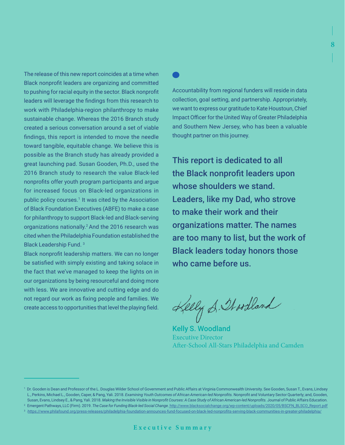The release of this new report coincides at a time when Black nonprofit leaders are organizing and committed to pushing for racial equity in the sector. Black nonprofit leaders will leverage the findings from this research to work with Philadelphia-region philanthropy to make sustainable change. Whereas the 2016 Branch study created a serious conversation around a set of viable findings, this report is intended to move the needle toward tangible, equitable change. We believe this is possible as the Branch study has already provided a great launching pad. Susan Gooden, Ph.D., used the 2016 Branch study to research the value Black-led nonprofits offer youth program participants and argue for increased focus on Black-led organizations in public policy courses.<sup>1</sup> It was cited by the Association of Black Foundation Executives (ABFE) to make a case for philanthropy to support Black-led and Black-serving organizations nationally.2 And the 2016 research was cited when the Philadelphia Foundation established the Black Leadership Fund. 3

Black nonprofit leadership matters. We can no longer be satisfied with simply existing and taking solace in the fact that we've managed to keep the lights on in our organizations by being resourceful and doing more with less. We are innovative and cutting edge and do not regard our work as fixing people and families. We create access to opportunities that level the playing field.

Accountability from regional funders will reside in data collection, goal setting, and partnership. Appropriately, we want to express our gratitude to Kate Houstoun, Chief Impact Officer for the United Way of Greater Philadelphia and Southern New Jersey, who has been a valuable thought partner on this journey.

3

8

This report is dedicated to all the Black nonprofit leaders upon whose shoulders we stand. Leaders, like my Dad, who strove to make their work and their organizations matter. The names are too many to list, but the work of Black leaders today honors those who came before us.

Kelly S. Stordland

Kelly S. Woodland Executive Director After-School All-Stars Philadelphia and Camden

2 Emergent Pathways, LLC (Firm). 2019. *The Case for Funding Black-led Social Change.* [http://www.blacksocialchange.org/wp-content/uploads/2020/05/BSCFN\\_BLSCO\\_Report.pdf](http://www.blacksocialchange.org/wp-content/uploads/2020/05/BSCFN_BLSCO_Report.pdf)

<sup>1</sup> Dr. Gooden is Dean and Professor of the L. Douglas Wilder School of Government and Public Affairs at Virginia Commonwealth University. See Gooden, Susan T., Evans, Lindsey L., Perkins, Michael L., Gooden, Caper, & Pang, Yali. 2018. *Examining Youth Outcomes of African American-led Nonprofits.* Nonprofit and Voluntary Sector Quarterly; and, Gooden, Susan, Evans, Lindsey E., & Pang, Yali. 2018. *Making the Invisible Visible in Nonprofit Courses: A Case Study of African American-led Nonprofits.* Journal of Public Affairs Education.

<sup>3</sup> <https://www.philafound.org/press-releases/philadelphia-foundation-announces-fund-focused-on-black-led-nonprofits-serving-black-communities-in-greater-philadelphia/>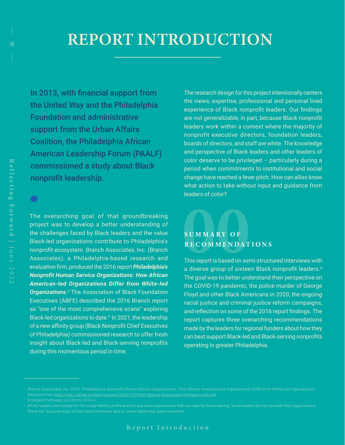# REPORT INTRODUCTION

In 2013, with financial support from the United Way and the Philadelphia Foundation and administrative support from the Urban Affairs Coalition, the Philadelphia African American Leadership Forum (PAALF) commissioned a study about Black nonprofit leadership.

The overarching goal of that groundbreaking project was to develop a better understanding of the challenges faced by Black leaders and the value Black-led organizations contribute to Philadelphia's nonprofit ecosystem. Branch Associates, Inc. (Branch Associates), a Philadelphia-based research and evaluation firm, produced the 2016 report *Philadelphia's Nonprofit Human Service Organizations: How African American-led Organizations Differ from White-led*  **Organizations.**<sup>4</sup> The Association of Black Foundation Executives (ABFE) described the 2016 Branch report as "one of the most comprehensive scans" exploring Black-led organizations to date.<sup>5</sup> In 2021, the leadership of a new affinity group (Black Nonprofit Chief Executives of Philadelphia) commissioned research to offer fresh insight about Black-led and Black-serving nonprofits during this momentous period in time.

The research design for this project intentionally centers the views, expertise, professional and personal lived experience of Black nonprofit leaders. Our findings are not generalizable, in part, because Black nonprofit leaders work within a context where the majority of nonprofit executive directors, foundation leaders, boards of directors, and staff are white. The knowledge and perspective of Black leaders and other leaders of color deserve to be privileged – particularly during a period when commitments to institutional and social change have reached a fever pitch. How can allies know what action to take without input and guidance from leaders of color?

# **SUMMARY OF RECOMMENDATIONS**

This report is based on semi-structured interviews with a diverse group of sixteen Black nonprofit leaders.<sup>6</sup> The goal was to better understand their perspective on the COVID-19 pandemic, the police murder of George Floyd and other Black Americans in 2020, the ongoing racial justice and criminal justice reform campaigns, and reflection on some of the 2016 report findings. The report captures three overarching recommendations made by the leaders for regional funders about how they can best support Black-led and Black-serving nonprofits operating in greater Philadelphia.

 $\bullet$ 

Retrieved from<https://uac.org/wp-content/uploads/2020/12/PAALF-Branch-Associates-Full-Report-web.pdf>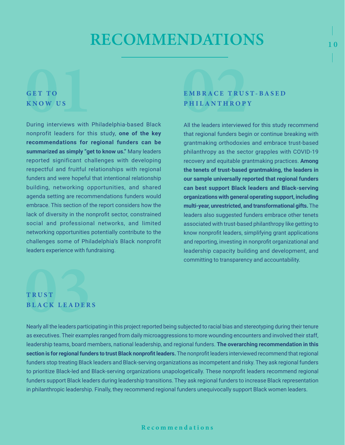# RECOMMENDATIONS

# **GET TO KNOW US**

During interviews with Philadelphia-based Black nonprofit leaders for this study, **one of the key recommendations for regional funders can be summarized as simply "get to know us."** Many leaders reported significant challenges with developing respectful and fruitful relationships with regional funders and were hopeful that intentional relationship building, networking opportunities, and shared agenda setting are recommendations funders would embrace. This section of the report considers how the lack of diversity in the nonprofit sector, constrained social and professional networks, and limited networking opportunities potentially contribute to the challenges some of Philadelphia's Black nonprofit leaders experience with fundraising.

# **E M B R A C E T R U S T - B A S E D PHILANTHROPY**

**10** 

All the leaders interviewed for this study recommend that regional funders begin or continue breaking with grantmaking orthodoxies and embrace trust-based philanthropy as the sector grapples with COVID-19 recovery and equitable grantmaking practices. **Among the tenets of trust-based grantmaking, the leaders in our sample universally reported that regional funders can best support Black leaders and Black-serving organizations with general operating support, including multi-year, unrestricted, and transformational gifts.** The leaders also suggested funders embrace other tenets associated with trust-based philanthropy like getting to know nonprofit leaders, simplifying grant applications and reporting, investing in nonprofit organizational and leadership capacity building and development, and committing to transparency and accountability.

# **T R U S T BLACK LEADERS**

Nearly all the leaders participating in this project reported being subjected to racial bias and stereotyping during their tenure as executives. Their examples ranged from daily microaggressions to more wounding encounters and involved their staff, leadership teams, board members, national leadership, and regional funders. **The overarching recommendation in this section is for regional funders to trust Black nonprofit leaders.** The nonprofit leaders interviewed recommend that regional funders stop treating Black leaders and Black-serving organizations as incompetent and risky. They ask regional funders to prioritize Black-led and Black-serving organizations unapologetically. These nonprofit leaders recommend regional funders support Black leaders during leadership transitions. They ask regional funders to increase Black representation in philanthropic leadership. Finally, they recommend regional funders unequivocally support Black women leaders.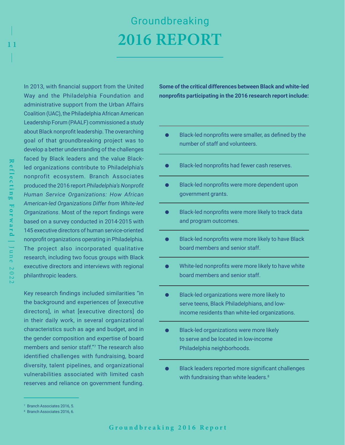# Groundbreaking 2016 REPORT

In 2013, with financial support from the United Way and the Philadelphia Foundation and administrative support from the Urban Affairs Coalition (UAC), the Philadelphia African American Leadership Forum (PAALF) commissioned a study about Black nonprofit leadership. The overarching goal of that groundbreaking project was to develop a better understanding of the challenges faced by Black leaders and the value Blackled organizations contribute to Philadelphia's nonprofit ecosystem. Branch Associates produced the 2016 report *Philadelphia's Nonprofit Human Service Organizations: How African American-led Organizations Differ from White-led Organizations*. Most of the report findings were based on a survey conducted in 2014-2015 with 145 executive directors of human service-oriented nonprofit organizations operating in Philadelphia. The project also incorporated qualitative research, including two focus groups with Black executive directors and interviews with regional philanthropic leaders.

Key research findings included similarities "in the background and experiences of [executive directors], in what [executive directors] do in their daily work, in several organizational characteristics such as age and budget, and in the gender composition and expertise of board members and senior staff."7 The research also identified challenges with fundraising, board diversity, talent pipelines, and organizational vulnerabilities associated with limited cash reserves and reliance on government funding.

- $\bullet$ Black-led nonprofits were smaller, as defined by the number of staff and volunteers.
- Black-led nonprofits had fewer cash reserves.  $\bullet$
- Black-led nonprofits were more dependent upon  $\bullet$ government grants.
- $\bullet$ Black-led nonprofits were more likely to track data and program outcomes.
- Black-led nonprofits were more likely to have Black  $\bullet$ board members and senior staff.
- $\bullet$ White-led nonprofits were more likely to have white board members and senior staff.
- Black-led organizations were more likely to ō serve teens, Black Philadelphians, and lowincome residents than white-led organizations.
- $\bullet$ Black-led organizations were more likely to serve and be located in low-income Philadelphia neighborhoods.
- Black leaders reported more significant challenges with fundraising than white leaders.<sup>8</sup>

**Some of the critical differences between Black and white-led nonprofits participating in the 2016 research report include:** 

<sup>7</sup> Branch Associates 2016, 5.

<sup>8</sup> Branch Associates 2016, 6.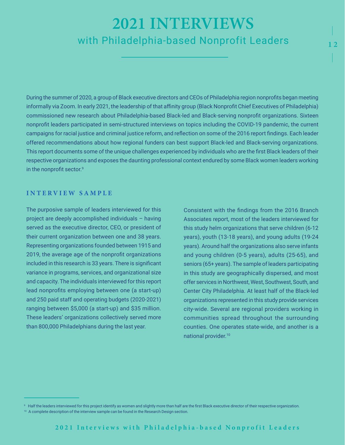# 2021 INTERVIEWS with Philadelphia-based Nonprofit Leaders

During the summer of 2020, a group of Black executive directors and CEOs of Philadelphia region nonprofits began meeting informally via Zoom. In early 2021, the leadership of that affinity group (Black Nonprofit Chief Executives of Philadelphia) commissioned new research about Philadelphia-based Black-led and Black-serving nonprofit organizations. Sixteen nonprofit leaders participated in semi-structured interviews on topics including the COVID-19 pandemic, the current campaigns for racial justice and criminal justice reform, and reflection on some of the 2016 report findings. Each leader offered recommendations about how regional funders can best support Black-led and Black-serving organizations. This report documents some of the unique challenges experienced by individuals who are the first Black leaders of their respective organizations and exposes the daunting professional context endured by some Black women leaders working in the nonprofit sector.<sup>9</sup>

## **I N T E R V I E W S A M P L E**

The purposive sample of leaders interviewed for this project are deeply accomplished individuals – having served as the executive director, CEO, or president of their current organization between one and 38 years. Representing organizations founded between 1915 and 2019, the average age of the nonprofit organizations included in this research is 33 years. There is significant variance in programs, services, and organizational size and capacity. The individuals interviewed for this report lead nonprofits employing between one (a start-up) and 250 paid staff and operating budgets (2020-2021) ranging between \$5,000 (a start-up) and \$35 million. These leaders' organizations collectively served more than 800,000 Philadelphians during the last year.

Consistent with the findings from the 2016 Branch Associates report, most of the leaders interviewed for this study helm organizations that serve children (6-12 years), youth (13-18 years), and young adults (19-24 years). Around half the organizations also serve infants and young children (0-5 years), adults (25-65), and seniors (65+ years). The sample of leaders participating in this study are geographically dispersed, and most offer services in Northwest, West, Southwest, South, and Center City Philadelphia. At least half of the Black-led organizations represented in this study provide services city-wide. Several are regional providers working in communities spread throughout the surrounding counties. One operates state-wide, and another is a national provider.10

<sup>&</sup>lt;sup>9</sup> Half the leaders interviewed for this project identify as women and slightly more than half are the first Black executive director of their respective organization.

<sup>&</sup>lt;sup>10</sup> A complete description of the interview sample can be found in the Research Design section.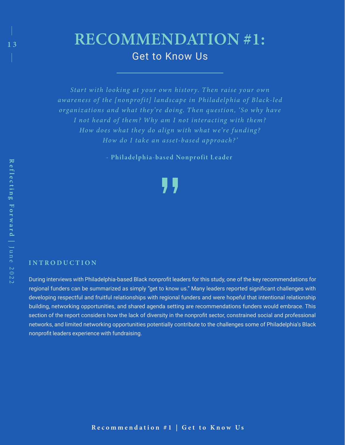# RECOMMENDATION #1: Get to Know Us

*Start with looking at your own history. Then raise your own awareness of the [nonprofit] landscape in Philadelphia of Black-led organizations and what they're doing. Then question, 'So why have I not heard of them? W hy am I not interacting w ith them? How does what they do align with what we're funding? How do I take an asset-based approach? '* 

- Philadelphia-based Nonprofit Leader

## **INTRODUCTION**

During interviews with Philadelphia-based Black nonprofit leaders for this study, one of the key recommendations for regional funders can be summarized as simply "get to know us." Many leaders reported significant challenges with developing respectful and fruitful relationships with regional funders and were hopeful that intentional relationship building, networking opportunities, and shared agenda setting are recommendations funders would embrace. This section of the report considers how the lack of diversity in the nonprofit sector, constrained social and professional networks, and limited networking opportunities potentially contribute to the challenges some of Philadelphia's Black nonprofit leaders experience with fundraising.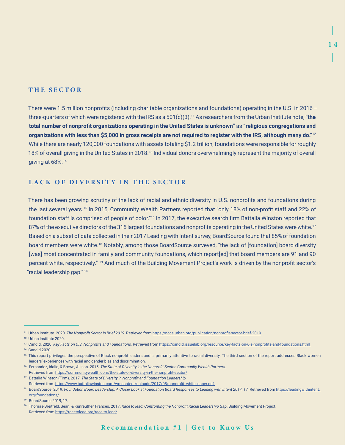## **THE SECTOR**

There were 1.5 million nonprofits (including charitable organizations and foundations) operating in the U.S. in 2016 – three-quarters of which were registered with the IRS as a 501(c)(3).11 As researchers from the Urban Institute note, **"the total number of nonprofit organizations operating in the United States is unknown"** as **"religious congregations and organizations with less than \$5,000 in gross receipts are not required to register with the IRS, although many do."**<sup>12</sup> While there are nearly 120,000 foundations with assets totaling \$1.2 trillion, foundations were responsible for roughly 18% of overall giving in the United States in 2018.13 Individual donors overwhelmingly represent the majority of overall giving at 68%.14

## **LACK OF DIVERSITY IN THE SECTOR**

There has been growing scrutiny of the lack of racial and ethnic diversity in U.S. nonprofits and foundations during the last several years.15 In 2015, Community Wealth Partners reported that "only 18% of non-profit staff and 22% of foundation staff is comprised of people of color."16 In 2017, the executive search firm Battalia Winston reported that 87% of the executive directors of the 315 largest foundations and nonprofits operating in the United States were white.<sup>17</sup> Based on a subset of data collected in their 2017 Leading with Intent survey, BoardSource found that 85% of foundation board members were white.18 Notably, among those BoardSource surveyed, "the lack of [foundation] board diversity [was] most concentrated in family and community foundations, which report[ed] that board members are 91 and 90 percent white, respectively." <sup>19</sup> And much of the Building Movement Project's work is driven by the nonprofit sector's "racial leadership gap." 20

12 Urban Institute 2020.

13 Candid. 2020. *Key Facts on U.S. Nonprofits and Foundations.* Retrieved from <https://candid.issuelab.org/resource/key-facts-on-u-s-nonprofits-and-foundations.html>

- <sup>15</sup> This report privileges the perspective of Black nonprofit leaders and is primarily attentive to racial diversity. The third section of the report addresses Black women leaders' experiences with racial and gender bias and discrimination.
- 16 Fernandez, Idalia, & Brown, Allison. 2015. *The State of Diversity in the Nonprofit Sector. Community Wealth Partners.* Retrieved from <https://communitywealth.com/the-state-of-diversity-in-the-nonprofit-sector/>
- 17 Battalia Winston (Firm). 2017. *The State of Diversity in Nonprofit and Foundation Leadership.*
- Retrieved from [https://www.battaliawinston.com/wp-content/uploads/2017/05/nonprofit\\_white\\_paper.pdf](https://www.battaliawinston.com/wp-content/uploads/2017/05/nonprofit_white_paper.pdf)  <sup>18</sup> BoardSource. 2019. Foundation Board Leadership: A Closer Look at Foundation Board Responses to Leading with Intent 2017: 17. Retrieved from https://leadingwithintent.  [org/foundations/](https://leadingwithintent.org/foundations/)
- <sup>19</sup> BoardSource 2019, 17

<sup>11</sup> Urban Institute. 2020. *The Nonprofit Sector in Brief 2019.* Retrieved from <https://nccs.urban.org/publication/nonprofit-sector-brief-2019>

<sup>14</sup> Candid 2020.

<sup>20</sup> Thomas-Breitfeld, Sean. & Kunreuther, Frances. 2017. *Race to lead: Confronting the Nonprofit Racial Leadership Gap*. Building Movement Project. Retrieved from<https://racetolead.org/race-to-lead/>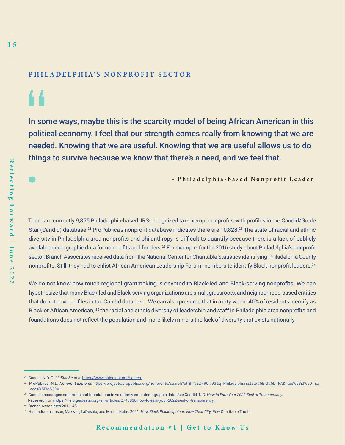## **PHILADELPHIA'S NONPROFIT SECTOR**

44

In some ways, maybe this is the scarcity model of being African American in this political economy. I feel that our strength comes really from knowing that we are needed. Knowing that we are useful. Knowing that we are useful allows us to do things to survive because we know that there's a need, and we feel that.

- Philadelphia-based Nonprofit Leader

There are currently 9,855 Philadelphia-based, IRS-recognized tax-exempt nonprofits with profiles in the Candid/Guide Star (Candid) database.<sup>21</sup> ProPublica's nonprofit database indicates there are 10,828.<sup>22</sup> The state of racial and ethnic diversity in Philadelphia area nonprofits and philanthropy is difficult to quantify because there is a lack of publicly available demographic data for nonprofits and funders.<sup>23</sup> For example, for the 2016 study about Philadelphia's nonprofit sector, Branch Associates received data from the National Center for Charitable Statistics identifying Philadelphia County nonprofits. Still, they had to enlist African American Leadership Forum members to identify Black nonprofit leaders.<sup>24</sup>

We do not know how much regional grantmaking is devoted to Black-led and Black-serving nonprofits. We can hypothesize that many Black-led and Black-serving organizations are small, grassroots, and neighborhood-based entities that do not have profiles in the Candid database. We can also presume that in a city where 40% of residents identify as Black or African American, 25 the racial and ethnic diversity of leadership and staff in Philadelphia area nonprofits and foundations does not reflect the population and more likely mirrors the lack of diversity that exists nationally.

<sup>21</sup> Candid. N.D. *GuideStar Search*.<https://www.guidestar.org/search>

<sup>22</sup> ProPublica. N.D. *Nonprofit Explorer.* [https://projects.propublica.org/nonprofits/search?utf8=%E2%9C%93&q=Philadelphia&state%5Bid%5D=PA&ntee%5Bid%5D=&c\\_](https://projects.propublica.org/nonprofits/search?utf8=%E2%9C%93&q=Philadelphia&state%5Bid%5D=PA&ntee%5Bid%5D=&c_code%5Bid%5D=)  [code%5Bid%5D=](https://projects.propublica.org/nonprofits/search?utf8=%E2%9C%93&q=Philadelphia&state%5Bid%5D=PA&ntee%5Bid%5D=&c_code%5Bid%5D=) 

<sup>&</sup>lt;sup>23</sup> Candid encourages nonprofits and foundations to voluntarily enter demographic data. See Candid. N.D. How to Earn Your 2022 Seal of Transparency. Retrieved from <https://help.guidestar.org/en/articles/2743836-how-to-earn-your-2022-seal-of-transparency>

<sup>&</sup>lt;sup>24</sup> Branch Associates 2016, 45.

<sup>25</sup> Hachadorian, Jason, Maxwell, LaDeshia, and Martin, Katie. 2021. *How Black Philadelphians View Their City.* Pew Charitable Trusts.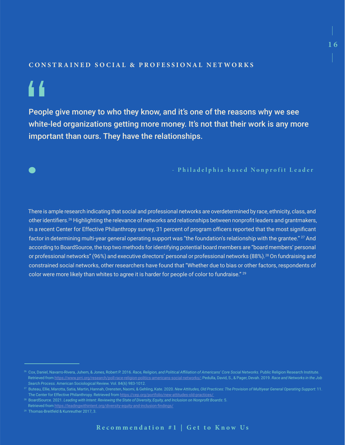## **CONSTRAINED SOCIAL & PROFESSIONAL NETWORKS**

# "

People give money to who they know, and it's one of the reasons why we see white-led organizations getting more money. It's not that their work is any more important than ours. They have the relationships.

- Philadelphia-based Nonprofit Leader

There is ample research indicating that social and professional networks are overdetermined by race, ethnicity, class, and other identifiers.<sup>26</sup> Highlighting the relevance of networks and relationships between nonprofit leaders and grantmakers, in a recent Center for Effective Philanthropy survey, 31 percent of program officers reported that the most significant factor in determining multi-year general operating support was "the foundation's relationship with the grantee." <sup>27</sup> And according to BoardSource, the top two methods for identifying potential board members are "board members' personal or professional networks" (96%) and executive directors' personal or professional networks (88%).<sup>28</sup> On fundraising and constrained social networks, other researchers have found that "Whether due to bias or other factors, respondents of color were more likely than whites to agree it is harder for people of color to fundraise."<sup>29</sup>

<sup>26</sup> Cox, Daniel, Navarro-Rivera, Juhem, & Jones, Robert P. 2016. *Race, Religion, and Political Affiliation of Americans' Core Social Networks.* Public Religion Research Institute. Retrieved from<https://www.prri.org/research/poll-race-religion-politics-americans-social-networks/>; Pedulla, David, S., & Pager, Devah. 2019. *Race and Networks in the Job Search Process.* American Sociological Review. Vol. 84(6) 983-1012.

<sup>27</sup> Buteau, Ellie, Marotta, Satia, Martin, Hannah, Orensten, Naomi, & Gehling, Kate. 2020. *New Attitudes, Old Practices: The Provision of Multiyear General Operating Support*: 11. The Center for Effective Philanthropy. Retrieved from<https://cep.org/portfolio/new-attitudes-old-practices/>

<sup>28</sup> BoardSource. 2021. *Leading with Intent: Reviewing the State of Diversity, Equity, and Inclusion on Nonprofit Boards*: 5.

Retrieved from <https://leadingwithintent.org/diversity-equity-and-inclusion-findings/>

<sup>&</sup>lt;sup>29</sup> Thomas-Breitfeld & Kunreuther 2017, 3.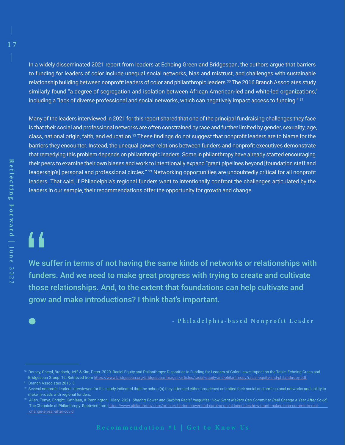In a widely disseminated 2021 report from leaders at Echoing Green and Bridgespan, the authors argue that barriers to funding for leaders of color include unequal social networks, bias and mistrust, and challenges with sustainable relationship building between nonprofit leaders of color and philanthropic leaders.<sup>30</sup> The 2016 Branch Associates study similarly found "a degree of segregation and isolation between African American-led and white-led organizations," including a "lack of diverse professional and social networks, which can negatively impact access to funding." 31

Many of the leaders interviewed in 2021 for this report shared that one of the principal fundraising challenges they face is that their social and professional networks are often constrained by race and further limited by gender, sexuality, age, class, national origin, faith, and education.<sup>32</sup> These findings do not suggest that nonprofit leaders are to blame for the barriers they encounter. Instead, the unequal power relations between funders and nonprofit executives demonstrate that remedying this problem depends on philanthropic leaders. Some in philanthropy have already started encouraging their peers to examine their own biases and work to intentionally expand "grant pipelines beyond [foundation staff and leadership's] personal and professional circles." 33 Networking opportunities are undoubtedly critical for all nonprofit leaders. That said, if Philadelphia's regional funders want to intentionally confront the challenges articulated by the leaders in our sample, their recommendations offer the opportunity for growth and change.

# "

We suffer in terms of not having the same kinds of networks or relationships with funders. And we need to make great progress with trying to create and cultivate those relationships. And, to the extent that foundations can help cultivate and grow and make introductions? I think that's important.

- Philadelphia-based Nonprofit Leader

<sup>30</sup> Dorsey, Cheryl, Bradach, Jeff, & Kim, Peter. 2020. Racial Equity and Philanthropy: Disparities in Funding for Leaders of Color Leave Impact on the Table. Echoing Green and Bridgespan Group: 12. Retrieved from https://www.bridgespan.org/bridgespan/Images/articles/racial-equity-and-philanthropy/racial-equity-and-philanthropy.pdf

 $32$  Several nonprofit leaders interviewed for this study indicated that the school(s) they attended either broadened or limited their social and professional networks and ability to make in-roads with regional funders.

<sup>&</sup>lt;sup>33</sup> Allen, Tonya, Enright, Kathleen, & Pennington, Hilary. 2021. Sharing Power and Curbing Racial Inequities: How Grant Makers Can Commit to Real Change a Year After Covid. The Chronicle of Philanthropy. Retrieved from [https://www.philanthropy.com/article/sharing-power-and-curbing-racial-inequities-how-grant-makers-can-commit-to-real](https://www.philanthropy.com/article/sharing-power-and-curbing-racial-inequities-how-grant-makers-can-commit-to-real-change-a-year-after-covid)   [change-a-year-after-covid](https://www.philanthropy.com/article/sharing-power-and-curbing-racial-inequities-how-grant-makers-can-commit-to-real-change-a-year-after-covid)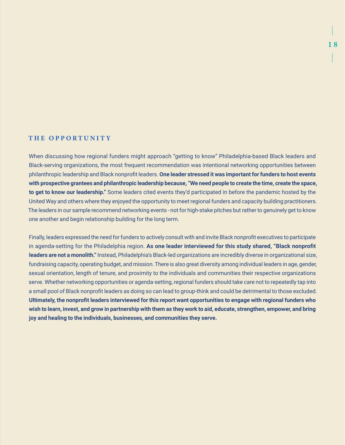## **THE OPPORTUNITY**

When discussing how regional funders might approach "getting to know" Philadelphia-based Black leaders and Black-serving organizations, the most frequent recommendation was intentional networking opportunities between philanthropic leadership and Black nonprofit leaders. **One leader stressed it was important for funders to host events with prospective grantees and philanthropic leadership because, "We need people to create the time, create the space, to get to know our leadership."** Some leaders cited events they'd participated in before the pandemic hosted by the United Way and others where they enjoyed the opportunity to meet regional funders and capacity building practitioners. The leaders in our sample recommend networking events - not for high-stake pitches but rather to genuinely get to know one another and begin relationship building for the long term.

Finally, leaders expressed the need for funders to actively consult with and invite Black nonprofit executives to participate in agenda-setting for the Philadelphia region. **As one leader interviewed for this study shared, "Black nonprofit leaders are not a monolith."** Instead, Philadelphia's Black-led organizations are incredibly diverse in organizational size, fundraising capacity, operating budget, and mission. There is also great diversity among individual leaders in age, gender, sexual orientation, length of tenure, and proximity to the individuals and communities their respective organizations serve. Whether networking opportunities or agenda-setting, regional funders should take care not to repeatedly tap into a small pool of Black nonprofit leaders as doing so can lead to group-think and could be detrimental to those excluded. **Ultimately, the nonprofit leaders interviewed for this report want opportunities to engage with regional funders who wish to learn, invest, and grow in partnership with them as they work to aid, educate, strengthen, empower, and bring joy and healing to the individuals, businesses, and communities they serve.**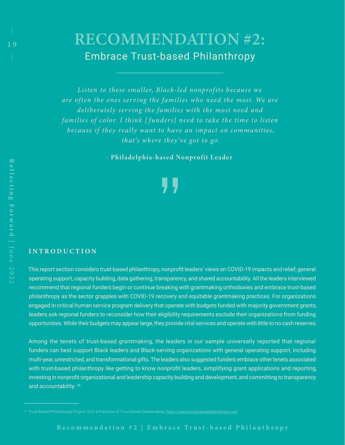# RECOMMENDATION #2: Embrace Trust-based Philanthropy

Listen to these smaller, Black-led nonprofits because we are often the ones serving the families who need the most. We are *deliberately ser v ing the families w ith the most need and families of color. I think [ funders] need to take the time to listen because if they really want to have an impact on communities, that's where they've got to go.*

- Philadelphia-based Nonprofit Leader

## **INTRODUCTION**

This report section considers trust-based philanthropy, nonprofit leaders' views on COVID-19 impacts and relief, general operating support, capacity building, data gathering, transparency, and shared accountability. All the leaders interviewed recommend that regional funders begin or continue breaking with grantmaking orthodoxies and embrace trust-based philanthropy as the sector grapples with COVID-19 recovery and equitable grantmaking practices. For organizations engaged in critical human service program delivery that operate with budgets funded with majority government grants, leaders ask regional funders to reconsider how their eligibility requirements exclude their organizations from funding opportunities. While their budgets may appear large, they provide vital services and operate with little to no cash reserves.

Among the tenets of trust-based grantmaking, the leaders in our sample universally reported that regional funders can best support Black leaders and Black-serving organizations with general operating support, including multi-year, unrestricted, and transformational gifts. The leaders also suggested funders embrace other tenets associated with trust-based philanthropy like getting to know nonprofit leaders, simplifying grant applications and reporting, investing in nonprofit organizational and leadership capacity building and development, and committing to transparency and accountability. 34

<sup>&</sup>lt;sup>34</sup> Trust-Based Philanthropy Project. N.D. 6 Practices of Trust-Based Grantmaking.<https://www.trustbasedphilanthropy.org/>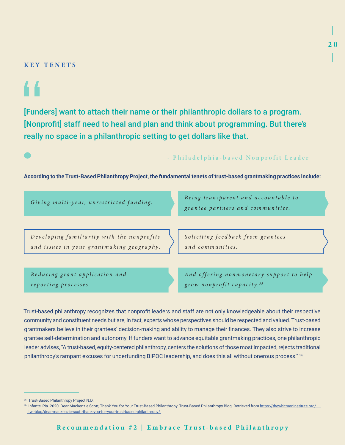## **KEY TENETS**

[Funders] want to attach their name or their philanthropic dollars to a program. [Nonprofit] staff need to heal and plan and think about programming. But there's really no space in a philanthropic setting to get dollars like that.

## - Philadelphia-based Nonprofit Leader

### **According to the Trust-Based Philanthropy Project, the fundamental tenets of trust-based grantmaking practices include:**

| Giving multi-year, unrestricted funding.                                                | Being transparent and accountable to<br>grantee partners and communities. |
|-----------------------------------------------------------------------------------------|---------------------------------------------------------------------------|
| Developing familiarity with the nonprofits<br>and issues in your grantmaking geography. | Soliciting feedback from grantees<br>and communities.                     |
| Reducing grant application and                                                          | And offering nonmonetary support to help                                  |

*reporting processes.*

*A n d o f f e r i n g n o n m o n e t a r y s u p p o r t t o h e l p grow nonprofit capacity. 3 5*

Trust-based philanthropy recognizes that nonprofit leaders and staff are not only knowledgeable about their respective community and constituent needs but are, in fact, experts whose perspectives should be respected and valued. Trust-based grantmakers believe in their grantees' decision-making and ability to manage their finances. They also strive to increase grantee self-determination and autonomy. If funders want to advance equitable grantmaking practices, one philanthropic leader advises, "A trust-based, equity-centered philanthropy, centers the solutions of those most impacted, rejects traditional philanthropy's rampant excuses for underfunding BIPOC leadership, and does this all without onerous process." 36

<sup>35</sup> Trust-Based Philanthropy Project N.D.

<sup>36</sup> Infante, Pia. 2020. Dear Mackenzie Scott, Thank You for Your Trust-Based Philanthropy. Trust-Based Philanthropy Blog. Retrieved from [https://thewhitmaninstitute.org/](https://thewhitmaninstitute.org/twi-blog/dear-mackenzie-scott-thank-you-for-your-trust-based-philanthropy/)  [twi-blog/dear-mackenzie-scott-thank-you-for-your-trust-based-philanthropy/](https://thewhitmaninstitute.org/twi-blog/dear-mackenzie-scott-thank-you-for-your-trust-based-philanthropy/)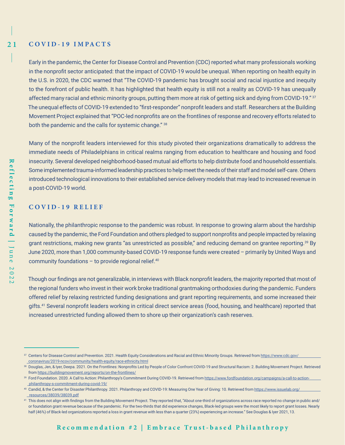$21$ **C O V I D - 1 9 I M PA C T S** 

> Early in the pandemic, the Center for Disease Control and Prevention (CDC) reported what many professionals working in the nonprofit sector anticipated: that the impact of COVID-19 would be unequal. When reporting on health equity in the U.S. in 2020, the CDC warned that "The COVID-19 pandemic has brought social and racial injustice and inequity to the forefront of public health. It has highlighted that health equity is still not a reality as COVID-19 has unequally affected many racial and ethnic minority groups, putting them more at risk of getting sick and dying from COVID-19." 37 The unequal effects of COVID-19 extended to "first-responder" nonprofit leaders and staff. Researchers at the Building Movement Project explained that "POC-led nonprofits are on the frontlines of response and recovery efforts related to both the pandemic and the calls for systemic change." 38

> Many of the nonprofit leaders interviewed for this study pivoted their organizations dramatically to address the immediate needs of Philadelphians in critical realms ranging from education to healthcare and housing and food insecurity. Several developed neighborhood-based mutual aid efforts to help distribute food and household essentials. Some implemented trauma-informed leadership practices to help meet the needs of their staff and model self-care. Others introduced technological innovations to their established service delivery models that may lead to increased revenue in a post-COVID-19 world.

### **C O V I D - 1 9 R E L I E F**

Nationally, the philanthropic response to the pandemic was robust. In response to growing alarm about the hardship caused by the pandemic, the Ford Foundation and others pledged to support nonprofits and people impacted by relaxing grant restrictions, making new grants "as unrestricted as possible," and reducing demand on grantee reporting.<sup>39</sup> By June 2020, more than 1,000 community-based COVID-19 response funds were created – primarily by United Ways and community foundations  $-$  to provide regional relief.<sup>40</sup>

Though our findings are not generalizable, in interviews with Black nonprofit leaders, the majority reported that most of the regional funders who invest in their work broke traditional grantmaking orthodoxies during the pandemic. Funders offered relief by relaxing restricted funding designations and grant reporting requirements, and some increased their gifts.41 Several nonprofit leaders working in critical direct service areas (food, housing, and healthcare) reported that increased unrestricted funding allowed them to shore up their organization's cash reserves.

<sup>37</sup> Centers for Disease Control and Prevention. 2021. Health Equity Considerations and Racial and Ethnic Minority Groups. Retrieved from https://www.cdc.gov/  [coronavirus/2019-ncov/community/health-equity/race-ethnicity.html](https://www.cdc.gov/coronavirus/2019-ncov/community/health-equity/race-ethnicity.html)

<sup>38</sup> Douglas, Jen, & Iyer, Deepa. 2021. On the Frontlines: Nonprofits Led by People of Color Confront COVID-19 and Structural Racism: 2. Building Movement Project. Retrieved from<https://buildingmovement.org/reports/on-the-frontlines/>

<sup>&</sup>lt;sup>39</sup> Ford Foundation. 2020. A Call to Action: Philanthropy's Commitment During COVID-19. Retrieved from [https://www.fordfoundation.org/campaigns/a-call-to-action](https://www.fordfoundation.org/campaigns/a-call-to-action-philanthropy-s-commitment-during-covid-19/)  [philanthropy-s-commitment-during-covid-19/](https://www.fordfoundation.org/campaigns/a-call-to-action-philanthropy-s-commitment-during-covid-19/)

<sup>40</sup> Candid, & the Center for Disaster Philanthropy. 2021. Philanthropy and COVID-19: Measuring One Year of Giving: 10. Retrieved from https://www.issuelab.org/  [resources/38039/38039.pdf](https://www.issuelab.org/resources/38039/38039.pdf)

<sup>&</sup>lt;sup>41</sup> This does not align with findings from the Building Movement Project. They reported that, "About one-third of organizations across race reported no change in public and/ or foundation grant revenue because of the pandemic. For the two-thirds that did experience changes, Black-led groups were the most likely to report grant losses. Nearly half (46%) of Black-led organizations reported a loss in grant revenue with less than a quarter (23%) experiencing an increase." See Douglas & Iyer 2021, 13.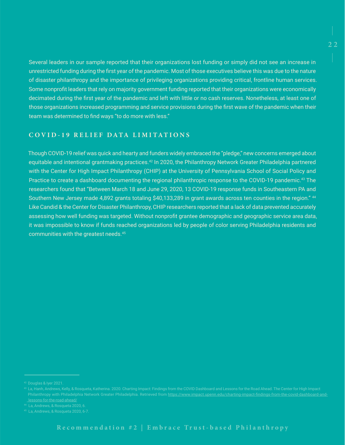Several leaders in our sample reported that their organizations lost funding or simply did not see an increase in unrestricted funding during the first year of the pandemic. Most of those executives believe this was due to the nature of disaster philanthropy and the importance of privileging organizations providing critical, frontline human services. Some nonprofit leaders that rely on majority government funding reported that their organizations were economically decimated during the first year of the pandemic and left with little or no cash reserves. Nonetheless, at least one of those organizations increased programming and service provisions during the first wave of the pandemic when their team was determined to find ways "to do more with less."

# **C O V I D - 1 9 R E L I E F D A T A L I M I T A T I O N S**

Though COVID-19 relief was quick and hearty and funders widely embraced the "pledge," new concerns emerged about equitable and intentional grantmaking practices.<sup>42</sup> In 2020, the Philanthropy Network Greater Philadelphia partnered with the Center for High Impact Philanthropy (CHIP) at the University of Pennsylvania School of Social Policy and Practice to create a dashboard documenting the regional philanthropic response to the COVID-19 pandemic.<sup>43</sup> The researchers found that "Between March 18 and June 29, 2020, 13 COVID-19 response funds in Southeastern PA and Southern New Jersey made 4,892 grants totaling \$40,133,289 in grant awards across ten counties in the region." <sup>44</sup> Like Candid & the Center for Disaster Philanthropy, CHIP researchers reported that a lack of data prevented accurately assessing how well funding was targeted. Without nonprofit grantee demographic and geographic service area data, it was impossible to know if funds reached organizations led by people of color serving Philadelphia residents and communities with the greatest needs.45

Philanthropy with Philadelphia Network Greater Philadelphia. Retrieved from [https://www.impact.upenn.edu/charting-impact-findings-from-the-covid-dashboard-and](https://www.impact.upenn.edu/charting-impact-findings-from-the-covid-dashboard-and-lessons-for-the-road-ahead/)  [lessons-for-the-road-ahead/](https://www.impact.upenn.edu/charting-impact-findings-from-the-covid-dashboard-and-lessons-for-the-road-ahead/)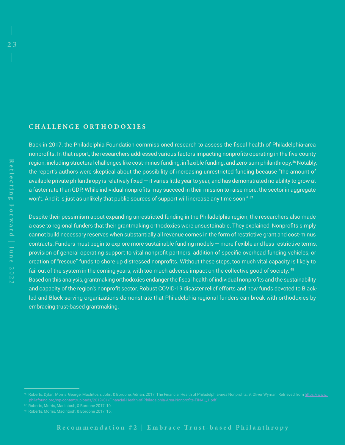## **C H A L L E N G E O R T H O D O X I E S**

Back in 2017, the Philadelphia Foundation commissioned research to assess the fiscal health of Philadelphia-area nonprofits. In that report, the researchers addressed various factors impacting nonprofits operating in the five-county region, including structural challenges like cost-minus funding, inflexible funding, and zero-sum philanthropy.<sup>46</sup> Notably, the report's authors were skeptical about the possibility of increasing unrestricted funding because "the amount of available private philanthropy is relatively fixed — it varies little year to year, and has demonstrated no ability to grow at a faster rate than GDP. While individual nonprofits may succeed in their mission to raise more, the sector in aggregate won't. And it is just as unlikely that public sources of support will increase any time soon." <sup>47</sup>

Despite their pessimism about expanding unrestricted funding in the Philadelphia region, the researchers also made a case to regional funders that their grantmaking orthodoxies were unsustainable. They explained, Nonprofits simply cannot build necessary reserves when substantially all revenue comes in the form of restrictive grant and cost-minus contracts. Funders must begin to explore more sustainable funding models — more flexible and less restrictive terms, provision of general operating support to vital nonprofit partners, addition of specific overhead funding vehicles, or creation of "rescue" funds to shore up distressed nonprofits. Without these steps, too much vital capacity is likely to fail out of the system in the coming years, with too much adverse impact on the collective good of society. <sup>48</sup> Based on this analysis, grantmaking orthodoxies endanger the fiscal health of individual nonprofits and the sustainability and capacity of the region's nonprofit sector. Robust COVID-19 disaster relief efforts and new funds devoted to Blackled and Black-serving organizations demonstrate that Philadelphia regional funders can break with orthodoxies by embracing trust-based grantmaking.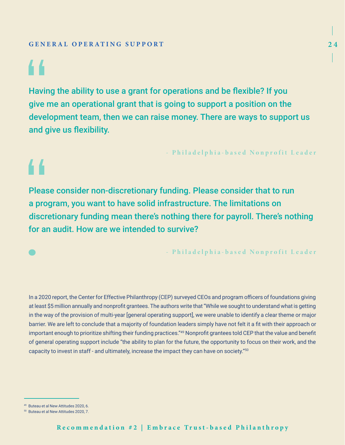# 44

44

Having the ability to use a grant for operations and be flexible? If you give me an operational grant that is going to support a position on the development team, then we can raise money. There are ways to support us and give us flexibility.

- Philadelphia-based Nonprofit Leader

Please consider non-discretionary funding. Please consider that to run a program, you want to have solid infrastructure. The limitations on discretionary funding mean there's nothing there for payroll. There's nothing for an audit. How are we intended to survive?

- Philadelphia-based Nonprofit Leader

In a 2020 report, the Center for Effective Philanthropy (CEP) surveyed CEOs and program officers of foundations giving at least \$5 million annually and nonprofit grantees. The authors write that "While we sought to understand what is getting in the way of the provision of multi-year [general operating support], we were unable to identify a clear theme or major barrier. We are left to conclude that a majority of foundation leaders simply have not felt it a fit with their approach or important enough to prioritize shifting their funding practices."49 Nonprofit grantees told CEP that the value and benefit of general operating support include "the ability to plan for the future, the opportunity to focus on their work, and the capacity to invest in staff - and ultimately, increase the impact they can have on society."50

<sup>49</sup> Buteau et al New Attitudes 2020, 6.

<sup>50</sup> Buteau et al New Attitudes 2020, 7.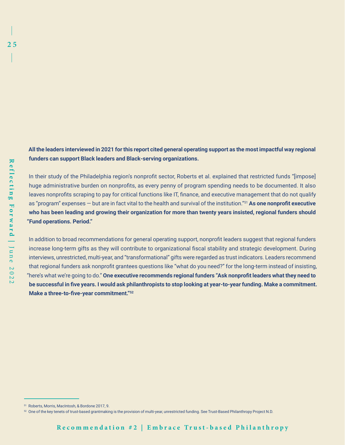**All the leaders interviewed in 2021 for this report cited general operating support as the most impactful way regional funders can support Black leaders and Black-serving organizations. Reflecting Forward |**

In their study of the Philadelphia region's nonprofit sector, Roberts et al. explained that restricted funds "[impose] huge administrative burden on nonprofits, as every penny of program spending needs to be documented. It also leaves nonprofits scraping to pay for critical functions like IT, finance, and executive management that do not qualify as "program" expenses — but are in fact vital to the health and survival of the institution."51 **As one nonprofit executive who has been leading and growing their organization for more than twenty years insisted, regional funders should "Fund operations. Period."**

In addition to broad recommendations for general operating support, nonprofit leaders suggest that regional funders increase long-term gifts as they will contribute to organizational fiscal stability and strategic development. During interviews, unrestricted, multi-year, and "transformational" gifts were regarded as trust indicators. Leaders recommend that regional funders ask nonprofit grantees questions like "what do you need?" for the long-term instead of insisting, "here's what we're going to do." **One executive recommends regional funders "Ask nonprofit leaders what they need to be successful in five years. I would ask philanthropists to stop looking at year-to-year funding. Make a commitment. Make a three-to-five-year commitment."52**

<sup>51</sup> Roberts, Morris, MacIntosh, & Bordone 2017, 9.

<sup>52</sup> One of the key tenets of trust-based grantmaking is the provision of multi-year, unrestricted funding. See Trust-Based Philanthropy Project N.D.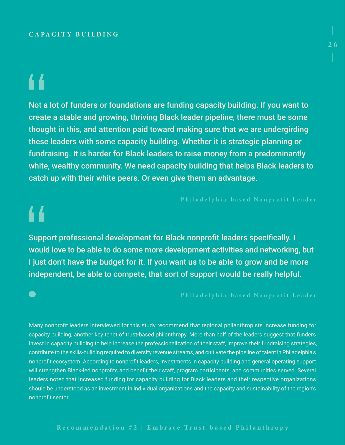## **C A PAC I T Y BU I L DI NG**

# 44

44

Not a lot of funders or foundations are funding capacity building. If you want to create a stable and growing, thriving Black leader pipeline, there must be some thought in this, and attention paid toward making sure that we are undergirding these leaders with some capacity building. Whether it is strategic planning or fundraising. It is harder for Black leaders to raise money from a predominantly white, wealthy community. We need capacity building that helps Black leaders to catch up with their white peers. Or even give them an advantage.

Support professional development for Black nonprofit leaders specifically. I would love to be able to do some more development activities and networking, but I just don't have the budget for it. If you want us to be able to grow and be more independent, be able to compete, that sort of support would be really helpful.

- Philadelphia-based Nonprofit Leader

Many nonprofit leaders interviewed for this study recommend that regional philanthropists increase funding for capacity building, another key tenet of trust-based philanthropy. More than half of the leaders suggest that funders invest in capacity building to help increase the professionalization of their staff, improve their fundraising strategies, contribute to the skills-building required to diversify revenue streams, and cultivate the pipeline of talent in Philadelphia's nonprofit ecosystem. According to nonprofit leaders, investments in capacity building and general operating support will strengthen Black-led nonprofits and benefit their staff, program participants, and communities served. Several leaders noted that increased funding for capacity building for Black leaders and their respective organizations should be understood as an investment in individual organizations and the capacity and sustainability of the region's nonprofit sector.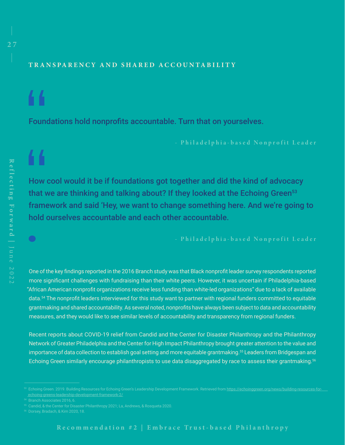# **T R A N SPA R E NC Y A N D SHA R E D AC C OU N TA BI L I T Y**

Foundations hold nonprofits accountable. Turn that on yourselves.

44

How cool would it be if foundations got together and did the kind of advocacy that we are thinking and talking about? If they looked at the Echoing Green<sup>53</sup> framework and said 'Hey, we want to change something here. And we're going to hold ourselves accountable and each other accountable.

- Philadelphia-based Nonprofit Leader

One of the key findings reported in the 2016 Branch study was that Black nonprofit leader survey respondents reported more significant challenges with fundraising than their white peers. However, it was uncertain if Philadelphia-based "African American nonprofit organizations receive less funding than white-led organizations" due to a lack of available data.<sup>54</sup> The nonprofit leaders interviewed for this study want to partner with regional funders committed to equitable grantmaking and shared accountability. As several noted, nonprofits have always been subject to data and accountability measures, and they would like to see similar levels of accountability and transparency from regional funders.

Recent reports about COVID-19 relief from Candid and the Center for Disaster Philanthropy and the Philanthropy Network of Greater Philadelphia and the Center for High Impact Philanthropy brought greater attention to the value and importance of data collection to establish goal setting and more equitable grantmaking.<sup>55</sup> Leaders from Bridgespan and Echoing Green similarly encourage philanthropists to use data disaggregated by race to assess their grantmaking.<sup>56</sup>

s3 Echoing Green. 2019. Building Resources for Echoing Green's Leadership Development Framework. Retrieved from <u>https://echoinggreen.org/news/building-resources-fo</u>r  [echoing-greens-leadership-development-framework-2/](https://echoinggreen.org/news/building-resources-for-echoing-greens-leadership-development-framework-2/)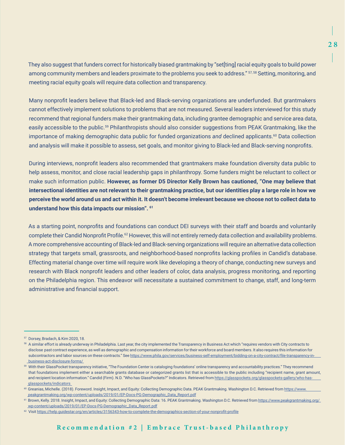They also suggest that funders correct for historically biased grantmaking by "set[ting] racial equity goals to build power among community members and leaders proximate to the problems you seek to address." 57, 58 Setting, monitoring, and meeting racial equity goals will require data collection and transparency.

Many nonprofit leaders believe that Black-led and Black-serving organizations are underfunded. But grantmakers cannot effectively implement solutions to problems that are not measured. Several leaders interviewed for this study recommend that regional funders make their grantmaking data, including grantee demographic and service area data, easily accessible to the public.<sup>59</sup> Philanthropists should also consider suggestions from PEAK Grantmaking, like the importance of making demographic data public for funded organizations *and* declined applicants.<sup>60</sup> Data collection and analysis will make it possible to assess, set goals, and monitor giving to Black-led and Black-serving nonprofits.

During interviews, nonprofit leaders also recommended that grantmakers make foundation diversity data public to help assess, monitor, and close racial leadership gaps in philanthropy. Some funders might be reluctant to collect or make such information public. **However, as former D5 Director Kelly Brown has cautioned, "One may believe that intersectional identities are not relevant to their grantmaking practice, but our identities play a large role in how we perceive the world around us and act within it. It doesn't become irrelevant because we choose not to collect data to understand how this data impacts our mission". <sup>61</sup>**

As a starting point, nonprofits and foundations can conduct DEI surveys with their staff and boards and voluntarily complete their Candid Nonprofit Profile.<sup>62</sup> However, this will not entirely remedy data collection and availability problems. A more comprehensive accounting of Black-led and Black-serving organizations will require an alternative data collection strategy that targets small, grassroots, and neighborhood-based nonprofits lacking profiles in Candid's database. Effecting material change over time will require work like developing a theory of change, conducting new surveys and research with Black nonprofit leaders and other leaders of color, data analysis, progress monitoring, and reporting on the Philadelphia region. This endeavor will necessitate a sustained commitment to change, staff, and long-term administrative and financial support.

<sup>&</sup>lt;sup>57</sup> Dorsey, Bradach, & Kim 2020, 18.

<sup>&</sup>lt;sup>58</sup> A similar effort is already underway in Philadelphia. Last year, the city implemented the Transparency in Business Act which "requires vendors with City contracts to disclose past contract experience, as well as demographic and compensation information for their workforce and board members. It also requires this information for subcontractors and labor sources on these contracts." See [https://www.phila.gov/services/business-self-employment/bidding-on-a-city-contract/file-transparency-in](https://www.phila.gov/services/business-self-employment/bidding-on-a-city-contract/file-transparency-in-business-act-disclosure-forms/)  [business-act-disclosure-forms/](https://www.phila.gov/services/business-self-employment/bidding-on-a-city-contract/file-transparency-in-business-act-disclosure-forms/) 

<sup>59</sup> With their GlassPocket transparency initiative, "The Foundation Center is cataloging foundations' online transparency and accountability practices." They recommend that foundations implement either a searchable grants database or categorized grants list that is accessible to the public including "recipient name, grant amount, and recipient location information." Candid (Firm). N.D. "Who has GlassPockets?" Indicators. Retrieved from [https://glasspockets.org/glasspockets-gallery/who-has](https://glasspockets.org/glasspockets-gallery/who-has-glasspockets/indicators)  [glasspockets/indicators](https://glasspockets.org/glasspockets-gallery/who-has-glasspockets/indicators) 

<sup>60</sup> Greanias, Michelle. (2018). Foreword. Insight, Impact, and Equity: Collecting Demographic Data. PEAK Grantmaking. Washington D.C. Retrieved from https://www.  [peakgrantmaking.org/wp-content/uploads/2019/01/EP-Docs-PG-Demographic\\_Data\\_Report.pdf](https://www.peakgrantmaking.org/wp-content/uploads/2019/01/EP-Docs-PG-Demographic_Data_Report.pdf)

<sup>&</sup>lt;sup>61</sup> Brown, Kelly. 2018. Insight, Impact, and Equity: Collecting Demographic Data: 16. PEAK Grantmaking. Washington D.C. Retrieved from [https://www.peakgrantmaking.org/](https://www.peakgrantmaking.org/wp-content/uploads/2019/01/EP-Docs-PG-Demographic_Data_Report.pdf)  [wp-content/uploads/2019/01/EP-Docs-PG-Demographic\\_Data\\_Report.pdf](https://www.peakgrantmaking.org/wp-content/uploads/2019/01/EP-Docs-PG-Demographic_Data_Report.pdf)

<sup>62</sup> Visit <https://help.guidestar.org/en/articles/3156343-how-to-complete-the-demographics-section-of-your-nonprofit-profile>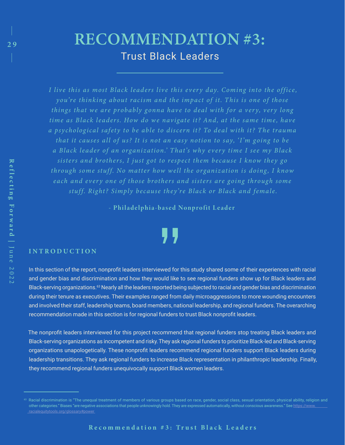# RECOMMENDATION #3: Trust Black Leaders

*I live this as most Black leaders live this every day. Coming into the office, you're thinking about racism and the impact of it . T his is one of those things that we are probably gonna have to deal with for a very, very long time as Black leaders. How do we navigate it? And, at the same time, have a psychological safety to be able to discern it? To deal with it? The trauma that it causes all of us? It is not an easy notion to say, 'I'm going to be a Black leader of an organization .' T hat's why e v er y time I see my Black*  sisters and brothers, I just got to respect them because I know they go *through some stuff. No matter how w ell the organization is doing , I know each and every one of those brothers and sisters are going through some stuff. Right? Simply because they're Black or Black and female.*

- Philadelphia-based Nonprofit Leader

## **I N T R O D U C T I O N**

In this section of the report, nonprofit leaders interviewed for this study shared some of their experiences with racial and gender bias and discrimination and how they would like to see regional funders show up for Black leaders and Black-serving organizations.<sup>63</sup> Nearly all the leaders reported being subjected to racial and gender bias and discrimination during their tenure as executives. Their examples ranged from daily microaggressions to more wounding encounters and involved their staff, leadership teams, board members, national leadership, and regional funders. The overarching recommendation made in this section is for regional funders to trust Black nonprofit leaders.

The nonprofit leaders interviewed for this project recommend that regional funders stop treating Black leaders and Black-serving organizations as incompetent and risky.They ask regional funders to prioritize Black-led and Black-serving organizations unapologetically. These nonprofit leaders recommend regional funders support Black leaders during leadership transitions. They ask regional funders to increase Black representation in philanthropic leadership. Finally, they recommend regional funders unequivocally support Black women leaders.

9

 $\begin{array}{c} \hline \phantom{0}1\ 29 \end{array}$ 

<sup>63</sup> Racial discrimination is "The unequal treatment of members of various groups based on race, gender, social class, sexual orientation, physical ability, religion and other categories." Biases "are negative associations that people unknowingly hold. They are expressed automatically, without conscious awareness." See [https://www.](https://www.racialequitytools.org/glossary#power)  [racialequitytools.org/glossary#power](https://www.racialequitytools.org/glossary#power)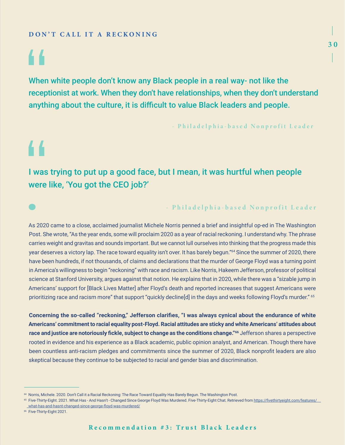## **DON'T CALL IT A RECKONING**

# 44

44

 $\bullet$ 

When white people don't know any Black people in a real way- not like the receptionist at work. When they don't have relationships, when they don't understand anything about the culture, it is difficult to value Black leaders and people.

- Philadelphia-based Nonprofit Leader

# I was trying to put up a good face, but I mean, it was hurtful when people were like, 'You got the CEO job?'

## - Philadelphia-based Nonprofit Leader

As 2020 came to a close, acclaimed journalist Michele Norris penned a brief and insightful op-ed in The Washington Post. She wrote, "As the year ends, some will proclaim 2020 as a year of racial reckoning. I understand why. The phrase carries weight and gravitas and sounds important. But we cannot lull ourselves into thinking that the progress made this year deserves a victory lap. The race toward equality isn't over. It has barely begun."64 Since the summer of 2020, there have been hundreds, if not thousands, of claims and declarations that the murder of George Floyd was a turning point in America's willingness to begin "reckoning" with race and racism. Like Norris, Hakeem Jefferson, professor of political science at Stanford University, argues against that notion. He explains that in 2020, while there was a "sizable jump in Americans' support for [Black Lives Matter] after Floyd's death and reported increases that suggest Americans were prioritizing race and racism more" that support "quickly decline[d] in the days and weeks following Floyd's murder." <sup>65</sup>

**Concerning the so-called "reckoning," Jefferson clarifies, "I was always cynical about the endurance of white Americans' commitment to racial equality post-Floyd. Racial attitudes are sticky and white Americans' attitudes about race and justice are notoriously fickle, subject to change as the conditions change."66** Jefferson shares a perspective rooted in evidence and his experience as a Black academic, public opinion analyst, and American. Though there have been countless anti-racism pledges and commitments since the summer of 2020, Black nonprofit leaders are also skeptical because they continue to be subjected to racial and gender bias and discrimination.

<sup>66</sup> Five-Thirty-Eight 2021.

<sup>64</sup> Norris, Michele. 2020. Don't Call it a Racial Reckoning: The Race Toward Equality Has Barely Begun. The Washington Post.

<sup>&</sup>lt;sup>65</sup> Five-Thirty-Eight. 2021. What Has - And Hasn't - Changed Since George Floyd Was Murdered. Five-Thirty-Eight Chat. Retrieved from [https://fivethirtyeight.com/features/](https://fivethirtyeight.com/features/what-has-and-hasnt-changed-since-george-floyd-was-murdered/)  [what-has-and-hasnt-changed-since-george-floyd-was-murdered/](https://fivethirtyeight.com/features/what-has-and-hasnt-changed-since-george-floyd-was-murdered/)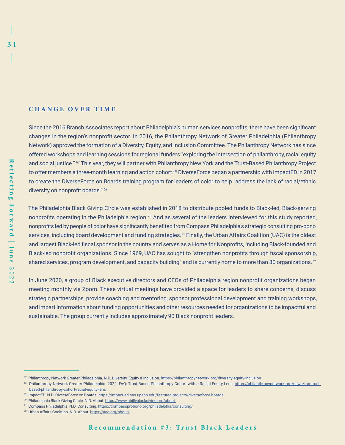### **CHANGE OVER TIME**

Since the 2016 Branch Associates report about Philadelphia's human services nonprofits, there have been significant changes in the region's nonprofit sector. In 2016, the Philanthropy Network of Greater Philadelphia (Philanthropy Network) approved the formation of a Diversity, Equity, and Inclusion Committee. The Philanthropy Network has since offered workshops and learning sessions for regional funders "exploring the intersection of philanthropy, racial equity and social justice." <sup>67</sup> This year, they will partner with Philanthropy New York and the Trust-Based Philanthropy Project to offer members a three-month learning and action cohort.<sup>68</sup> DiverseForce began a partnership with ImpactED in 2017 to create the DiverseForce on Boards training program for leaders of color to help "address the lack of racial/ethnic diversity on nonprofit boards." <sup>69</sup>

The Philadelphia Black Giving Circle was established in 2018 to distribute pooled funds to Black-led, Black-serving nonprofits operating in the Philadelphia region.<sup>70</sup> And as several of the leaders interviewed for this study reported, nonprofits led by people of color have significantly benefited from Compass Philadelphia's strategic consulting pro-bono services, including board development and funding strategies.<sup>71</sup> Finally, the Urban Affairs Coalition (UAC) is the oldest and largest Black-led fiscal sponsor in the country and serves as a Home for Nonprofits, including Black-founded and Black-led nonprofit organizations. Since 1969, UAC has sought to "strengthen nonprofits through fiscal sponsorship, shared services, program development, and capacity building" and is currently home to more than 80 organizations.<sup>72</sup>

In June 2020, a group of Black executive directors and CEOs of Philadelphia region nonprofit organizations began meeting monthly via Zoom. These virtual meetings have provided a space for leaders to share concerns, discuss strategic partnerships, provide coaching and mentoring, sponsor professional development and training workshops, and impart information about funding opportunities and other resources needed for organizations to be impactful and sustainable. The group currently includes approximately 90 Black nonprofit leaders.

<sup>&</sup>lt;sup>67</sup> Philanthropy Network Greater Philadelphia. N.D. Diversity, Equity & Inclusion. https://philanthropynetwork.org/diversity-equity-inclusion

<sup>68</sup> Philanthropy Network Greater Philadelphia. 2022. FAQ: Trust-Based Philanthropy Cohort with a Racial Equity Lens. [https://philanthropynetwork.org/news/faq-trust](https://philanthropynetwork.org/news/faq-trust-    based-philanthropy-cohort-racial-equity-lens)  [based-philanthropy-cohort-racial-equity-lens](https://philanthropynetwork.org/news/faq-trust-    based-philanthropy-cohort-racial-equity-lens)

<sup>69</sup> ImpactED. N.D. DiverseForce on Boards.<https://impact-ed.sas.upenn.edu/featured-projects/diverseforce-boards>

<sup>&</sup>lt;sup>70</sup> Philadelphia Black Giving Circle. N.D. About. https://www.phillyblackgiving.org/about

<sup>71</sup> Compass Philadelphia. N.D. Consulting.<https://compassprobono.org/philadelphia/consulting/>

<sup>72</sup> Urban Affairs Coalition. N.D. About. https://uac.org/about/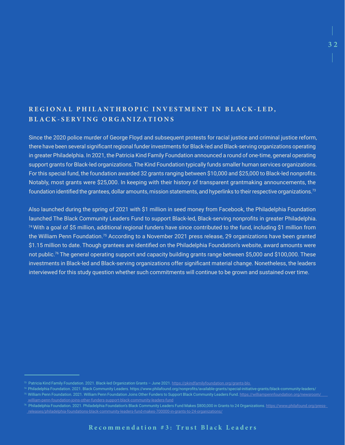# REGIONAL PHILANTHROPIC INVESTMENT IN BLACK-LED, **B L A C K - S E R V I N G O R G A N I Z A T I O N S**

Since the 2020 police murder of George Floyd and subsequent protests for racial justice and criminal justice reform, there have been several significant regional funder investments for Black-led and Black-serving organizations operating in greater Philadelphia. In 2021, the Patricia Kind Family Foundation announced a round of one-time, general operating support grants for Black-led organizations. The Kind Foundation typically funds smaller human services organizations. For this special fund, the foundation awarded 32 grants ranging between \$10,000 and \$25,000 to Black-led nonprofits. Notably, most grants were \$25,000. In keeping with their history of transparent grantmaking announcements, the foundation identified the grantees, dollar amounts, mission statements, and hyperlinks to their respective organizations.<sup>73</sup>

Also launched during the spring of 2021 with \$1 million in seed money from Facebook, the Philadelphia Foundation launched The Black Community Leaders Fund to support Black-led, Black-serving nonprofits in greater Philadelphia. <sup>74</sup>With a goal of \$5 million, additional regional funders have since contributed to the fund, including \$1 million from the William Penn Foundation.<sup>75</sup> According to a November 2021 press release, 29 organizations have been granted \$1.15 million to date. Though grantees are identified on the Philadelphia Foundation's website, award amounts were not public.76 The general operating support and capacity building grants range between \$5,000 and \$100,000. These investments in Black-led and Black-serving organizations offer significant material change. Nonetheless, the leaders interviewed for this study question whether such commitments will continue to be grown and sustained over time.

<sup>73</sup> Patricia Kind Family Foundation. 2021. Black-led Organization Grants – June 2021.<https://pkindfamilyfoundation.org/grants-blo>

<sup>&</sup>lt;sup>74</sup> Philadelphia Foundation. 2021. Black Community Leaders. https://www.philafound.org/nonprofits/available-grants/special-initiative-grants/black-community-leaders/ <sup>75</sup> William Penn Foundation. 2021. William Penn Foundation Joins Other Funders to Support Black Community Leaders Fund. [https://williampennfoundation.org/newsroom/](https://williampennfoundation.org/newsroom/william-penn-foundation-joins-other-funders-support-black-community-leaders-fund)

[william-penn-foundation-joins-other-funders-support-black-community-leaders-fund](https://williampennfoundation.org/newsroom/william-penn-foundation-joins-other-funders-support-black-community-leaders-fund) 

<sup>&</sup>lt;sup>76</sup> Philadelphia Foundation. 2021. Philadelphia Foundation's Black Community Leaders Fund Makes \$800,000 in Grants to 24 Organizations. <u>[https://www.philafound.org/press-](https://www.philafound.org/press-releases/philadelphia-foundations-black-community-leaders-fund-makes-700000-in-grants-to-24-organizations/)</u>  [releases/philadelphia-foundations-black-community-leaders-fund-makes-700000-in-grants-to-24-organizations/](https://www.philafound.org/press-releases/philadelphia-foundations-black-community-leaders-fund-makes-700000-in-grants-to-24-organizations/)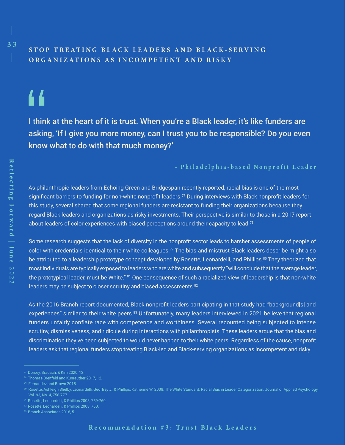# STOP TREATING BLACK LEADERS AND BLACK-SERVING **ORGANIZATIONS AS INCOMPETENT AND RISKY**

# 44

2 8 3 3

I think at the heart of it is trust. When you're a Black leader, it's like funders are asking, 'If I give you more money, can I trust you to be responsible? Do you even know what to do with that much money?'

### - Philadelphia-based Nonprofit Leader

As philanthropic leaders from Echoing Green and Bridgespan recently reported, racial bias is one of the most significant barriers to funding for non-white nonprofit leaders.<sup>77</sup> During interviews with Black nonprofit leaders for this study, several shared that some regional funders are resistant to funding their organizations because they regard Black leaders and organizations as risky investments. Their perspective is similar to those in a 2017 report about leaders of color experiences with biased perceptions around their capacity to lead.<sup>78</sup>

Some research suggests that the lack of diversity in the nonprofit sector leads to harsher assessments of people of color with credentials identical to their white colleagues.<sup>79</sup> The bias and mistrust Black leaders describe might also be attributed to a leadership prototype concept developed by Rosette, Leonardelli, and Phillips.<sup>80</sup> They theorized that most individuals are typically exposed to leaders who are white and subsequently "will conclude that the average leader, the prototypical leader, must be White." <sup>81</sup> One consequence of such a racialized view of leadership is that non-white leaders may be subject to closer scrutiny and biased assessments.<sup>82</sup>

As the 2016 Branch report documented, Black nonprofit leaders participating in that study had "background[s] and experiences" similar to their white peers.<sup>83</sup> Unfortunately, many leaders interviewed in 2021 believe that regional funders unfairly conflate race with competence and worthiness. Several recounted being subjected to intense scrutiny, dismissiveness, and ridicule during interactions with philanthropists. These leaders argue that the bias and discrimination they've been subjected to would never happen to their white peers. Regardless of the cause, nonprofit leaders ask that regional funders stop treating Black-led and Black-serving organizations as incompetent and risky.

<sup>77</sup> Dorsey, Bradach, & Kim 2020, 12.

<sup>78</sup> Thomas-Breitfeld and Kunreuther 2017, 12.

<sup>80</sup> Rosette, Ashleigh Shelby, Leonardelli, Geoffrey J., & Phillips, Katherine W. 2008. The White Standard: Racial Bias in Leader Categorization. Journal of Applied Psychology. Vol. 93, No. 4, 758-777.

<sup>81</sup> Rosette, Leonardelli, & Phillips 2008, 759-760.

<sup>82</sup> Rosette, Leonardelli, & Phillips 2008, 760.

<sup>83</sup> Branch Associates 2016, 5.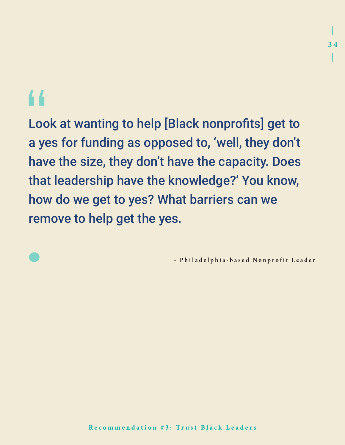# 44

Look at wanting to help [Black nonprofits] get to a yes for funding as opposed to, 'well, they don't have the size, they don't have the capacity. Does that leadership have the knowledge?' You know, how do we get to yes? What barriers can we remove to help get the yes.

- Philadelphia-based Nonprofit Leader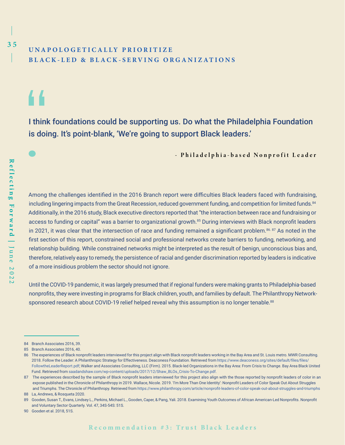# **U N A P O L O G E T I C A L L Y P R I O R I T I Z E BLACK-LED & BLACK-SERVING ORGANIZATIONS**

44

I think foundations could be supporting us. Do what the Philadelphia Foundation is doing. It's point-blank, 'We're going to support Black leaders.'

- Philadelphia-based Nonprofit Leader

Among the challenges identified in the 2016 Branch report were difficulties Black leaders faced with fundraising, including lingering impacts from the Great Recession, reduced government funding, and competition for limited funds.<sup>84</sup> Additionally, in the 2016 study, Black executive directors reported that "the interaction between race and fundraising or access to funding or capital" was a barrier to organizational growth.<sup>85</sup> During interviews with Black nonprofit leaders in 2021, it was clear that the intersection of race and funding remained a significant problem.<sup>86. 87</sup> As noted in the first section of this report, constrained social and professional networks create barriers to funding, networking, and relationship building. While constrained networks might be interpreted as the result of benign, unconscious bias and, therefore, relatively easy to remedy, the persistence of racial and gender discrimination reported by leaders is indicative of a more insidious problem the sector should not ignore.

Until the COVID-19 pandemic, it was largely presumed that if regional funders were making grants to Philadelphia-based nonprofits, they were investing in programs for Black children, youth, and families by default. The Philanthropy Networksponsored research about COVID-19 relief helped reveal why this assumption is no longer tenable.<sup>88</sup>

<sup>84</sup> Branch Associates 2016, 39.

<sup>85</sup> Branch Associates 2016, 40.

<sup>86</sup> The experiences of Black nonprofit leaders interviewed for this project align with Black nonprofit leaders working in the Bay Area and St. Louis metro. MWR Consulting. 2018. Follow the Leader: A Philanthropic Strategy for Effectiveness. Deaconess Foundation. Retrieved from [https://www.deaconess.org/sites/default/files/files/](https://www.deaconess.org/sites/default/files/files/FollowtheLeaderReport.pdf)  [FollowtheLeaderReport.pdf](https://www.deaconess.org/sites/default/files/files/FollowtheLeaderReport.pdf); Walker and Associates Consulting, LLC (Firm). 2015. Black-led Organizations in the Bay Area: From Crisis to Change. Bay Area Black United Fund. Retrieved from [saadandshaw.com/wp-content/uploads/2017/12/Shaw\\_BLOs\\_Crisis-To-Change.pdf.](http://saadandshaw.com/wp-content/uploads/2017/12/Shaw_BLOs_Crisis-To-Change.pdf)

<sup>87</sup> The experiences described by the sample of Black nonprofit leaders interviewed for this project also align with the those reported by nonprofit leaders of color in an expose published in the Chronicle of Philanthropy in 2019. Wallace, Nicole. 2019. 'I'm More Than One Identity': Nonprofit Leaders of Color Speak Out About Struggles and Triumphs. The Chronicle of Philanthropy. Retrieved from <https://www.philanthropy.com/article/nonprofit-leaders-of-color-speak-out-about-struggles-and-triumphs>

<sup>88</sup> La, Andrews, & Rosqueta 2020.

<sup>89</sup> Gooden, Susan T., Evans, Lindsey L., Perkins, Michael L., Gooden, Caper, & Pang, Yali. 2018. Examining Youth Outcomes of African American-Led Nonprofits. Nonprofit and Voluntary Sector Quarterly. Vol. 47, 34S-54S: 51S.

<sup>90</sup> Gooden et al. 2018, 51S.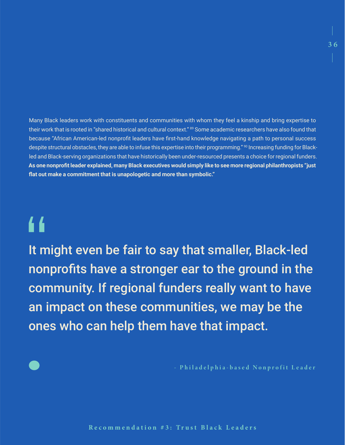Many Black leaders work with constituents and communities with whom they feel a kinship and bring expertise to their work that is rooted in "shared historical and cultural context." <sup>89</sup> Some academic researchers have also found that because "African American-led nonprofit leaders have first-hand knowledge navigating a path to personal success despite structural obstacles, they are able to infuse this expertise into their programming." <sup>90</sup> Increasing funding for Blackled and Black-serving organizations that have historically been under-resourced presents a choice for regional funders. **As one nonprofit leader explained, many Black executives would simply like to see more regional philanthropists "just flat out make a commitment that is unapologetic and more than symbolic."** 

# "

It might even be fair to say that smaller, Black-led nonprofits have a stronger ear to the ground in the community. If regional funders really want to have an impact on these communities, we may be the ones who can help them have that impact.

- Philadelphia-based Nonprofit Leader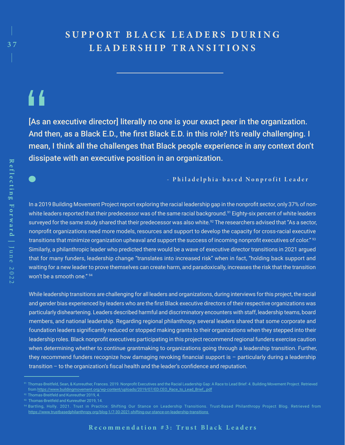# S U P P O R T B L A C K L E A D E R S D U R I N G **LEADERSHIP TRANSITIONS**

# 44

[As an executive director] literally no one is your exact peer in the organization. And then, as a Black E.D., the first Black E.D. in this role? It's really challenging. I mean, I think all the challenges that Black people experience in any context don't dissipate with an executive position in an organization.

- Philadelphia-based Nonprofit Leader

In a 2019 Building Movement Project report exploring the racial leadership gap in the nonprofit sector, only 37% of nonwhite leaders reported that their predecessor was of the same racial background.<sup>91</sup> Eighty-six percent of white leaders surveyed for the same study shared that their predecessor was also white.<sup>92</sup> The researchers advised that "As a sector, nonprofit organizations need more models, resources and support to develop the capacity for cross-racial executive transitions that minimize organization upheaval and support the success of incoming nonprofit executives of color."<sup>93</sup> Similarly, a philanthropic leader who predicted there would be a wave of executive director transitions in 2021 argued that for many funders, leadership change "translates into increased risk" when in fact, "holding back support and waiting for a new leader to prove themselves can create harm, and paradoxically, increases the risk that the transition won't be a smooth one." 94

While leadership transitions are challenging for all leaders and organizations, during interviews for this project, the racial and gender bias experienced by leaders who are the first Black executive directors of their respective organizations was particularly disheartening. Leaders described harmful and discriminatory encounters with staff, leadership teams, board members, and national leadership. Regarding regional philanthropy, several leaders shared that some corporate and foundation leaders significantly reduced or stopped making grants to their organizations when they stepped into their leadership roles. Black nonprofit executives participating in this project recommend regional funders exercise caution when determining whether to continue grantmaking to organizations going through a leadership transition. Further, they recommend funders recognize how damaging revoking financial support is – particularly during a leadership transition – to the organization's fiscal health and the leader's confidence and reputation.

<sup>91</sup> Thomas-Breitfeld, Sean, & Kunreuther, Frances. 2019. Nonprofit Executives and the Racial Leadership Gap: A Race to Lead Brief: 4. Building Movement Project. Retrieved from [https://www.buildingmovement.org/wp-content/uploads/2019/07/ED.CEO\\_Race\\_to\\_Lead\\_Brief\\_.pdf](https://www.buildingmovement.org/wp-content/uploads/2019/07/ED.CEO_Race_to_Lead_Brief_.pdf)

<sup>92</sup> Thomas-Breitfeld and Kunreuther 2019, 4.

<sup>93</sup> Thomas-Breitfeld and Kunreuther 2019, 14.

<https://www.trustbasedphilanthropy.org/blog-1/7-30-2021-shifting-our-stance-on-leadership-transitions>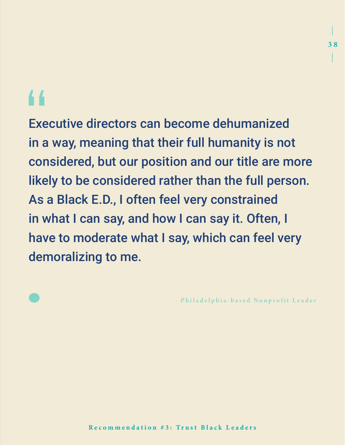# 44

Executive directors can become dehumanized in a way, meaning that their full humanity is not considered, but our position and our title are more likely to be considered rather than the full person. As a Black E.D., I often feel very constrained in what I can say, and how I can say it. Often, I have to moderate what I say, which can feel very demoralizing to me.

- Philadelphia-based Nonprofit Leader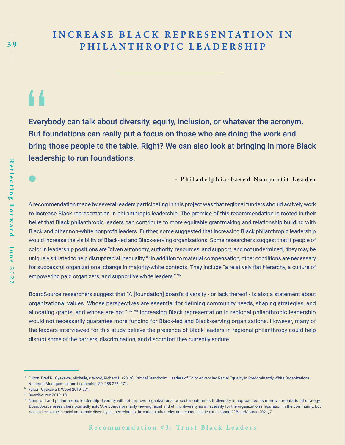# **INCREASE BLACK REPRESENTATION IN** P H I L A N T H R O P I C L E A D E R S H I P

# 44

Everybody can talk about diversity, equity, inclusion, or whatever the acronym. But foundations can really put a focus on those who are doing the work and bring those people to the table. Right? We can also look at bringing in more Black leadership to run foundations.

- Philadelphia-based Nonprofit Leader

A recommendation made by several leaders participating in this project was that regional funders should actively work to increase Black representation in philanthropic leadership. The premise of this recommendation is rooted in their belief that Black philanthropic leaders can contribute to more equitable grantmaking and relationship building with Black and other non-white nonprofit leaders. Further, some suggested that increasing Black philanthropic leadership would increase the visibility of Black-led and Black-serving organizations. Some researchers suggest that if people of color in leadership positions are "given autonomy, authority, resources, and support, and not undermined," they may be uniquely situated to help disrupt racial inequality.95 In addition to material compensation, other conditions are necessary for successful organizational change in majority-white contexts. They include "a relatively flat hierarchy, a culture of empowering paid organizers, and supportive white leaders." 96

BoardSource researchers suggest that "A [foundation] board's diversity - or lack thereof - is also a statement about organizational values. Whose perspectives are essential for defining community needs, shaping strategies, and allocating grants, and whose are not." <sup>97, 98</sup> Increasing Black representation in regional philanthropic leadership would not necessarily guarantee more funding for Black-led and Black-serving organizations. However, many of the leaders interviewed for this study believe the presence of Black leaders in regional philanthropy could help disrupt some of the barriers, discrimination, and discomfort they currently endure.

<sup>95</sup> Fulton, Brad R., Oyakawa, Michelle, & Wood, Richard L. (2019). Critical Standpoint: Leaders of Color Advancing Racial Equality in Predominantly White Organizations. Nonprofit Management and Leadership: 30, 255-276: 271.

<sup>96</sup> Fulton, Oyakawa & Wood 2019, 271.

<sup>97</sup> BoardSource 2019, 18[.](https://help.guidestar.org/en/articles/2743836-how-to-earn-your-2022-seal-of-transparency)

<sup>98</sup> Nonprofit and philanthropic leadership diversity will not improve organizational or sector outcomes if diversity is approached as merely a reputational strategy. BoardSource researchers pointedly ask, "Are boards primarily viewing racial and ethnic diversity as a necessity for the organization's reputation in the community, but seeing less value in racial and ethnic diversity as they relate to the various other roles and responsibilities of the board?" BoardSource 2021, 7.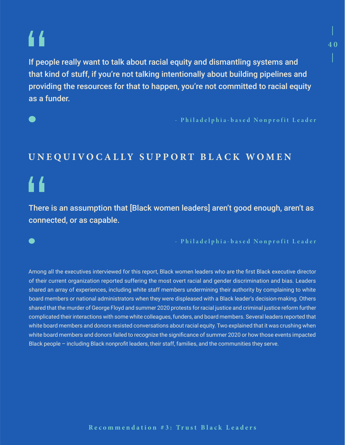# 44

If people really want to talk about racial equity and dismantling systems and that kind of stuff, if you're not talking intentionally about building pipelines and providing the resources for that to happen, you're not committed to racial equity as a funder.

- Philadelphia-based Nonprofit Leader

# UNEQUIVOCALLY SUPPORT BLACK WOMEN

# "

There is an assumption that [Black women leaders] aren't good enough, aren't as connected, or as capable.

- Philadelphia-based Nonprofit Leader

Among all the executives interviewed for this report, Black women leaders who are the first Black executive director of their current organization reported suffering the most overt racial and gender discrimination and bias. Leaders shared an array of experiences, including white staff members undermining their authority by complaining to white board members or national administrators when they were displeased with a Black leader's decision-making. Others shared that the murder of George Floyd and summer 2020 protests for racial justice and criminal justice reform further complicated their interactions with some white colleagues, funders, and board members. Several leaders reported that white board members and donors resisted conversations about racial equity. Two explained that it was crushing when white board members and donors failed to recognize the significance of summer 2020 or how those events impacted Black people – including Black nonprofit leaders, their staff, families, and the communities they serve.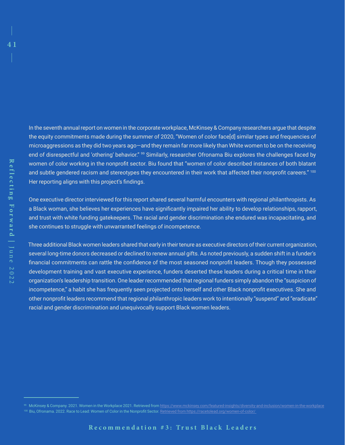In the seventh annual report on women in the corporate workplace, McKinsey & Company researchers argue that despite the equity commitments made during the summer of 2020, "Women of color face[d] similar types and frequencies of microaggressions as they did two years ago—and they remain far more likely than White women to be on the receiving end of disrespectful and 'othering' behavior." <sup>99</sup> Similarly, researcher Ofronama Biu explores the challenges faced by women of color working in the nonprofit sector. Biu found that "women of color described instances of both blatant and subtle gendered racism and stereotypes they encountered in their work that affected their nonprofit careers." 100 Her reporting aligns with this project's findings.

One executive director interviewed for this report shared several harmful encounters with regional philanthropists. As a Black woman, she believes her experiences have significantly impaired her ability to develop relationships, rapport, and trust with white funding gatekeepers. The racial and gender discrimination she endured was incapacitating, and she continues to struggle with unwarranted feelings of incompetence.

Three additional Black women leaders shared that early in their tenure as executive directors of their current organization, several long-time donors decreased or declined to renew annual gifts. As noted previously, a sudden shift in a funder's financial commitments can rattle the confidence of the most seasoned nonprofit leaders. Though they possessed development training and vast executive experience, funders deserted these leaders during a critical time in their organization's leadership transition. One leader recommended that regional funders simply abandon the "suspicion of incompetence," a habit she has frequently seen projected onto herself and other Black nonprofit executives. She and other nonprofit leaders recommend that regional philanthropic leaders work to intentionally "suspend" and "eradicate" racial and gender discrimination and unequivocally support Black women leaders.

<sup>99</sup> McKinsey & Company. 2021. Women in the Workplace 2021. Retrieved from<https://www.mckinsey.com/featured-insights/diversity-and-inclusion/women-in-the-workplace> 100 Biu, Ofronama. 2022. Race to Lead: Women of Color in the Nonprofit Sector. Retrieved from https://racetolead.org/women-of-color/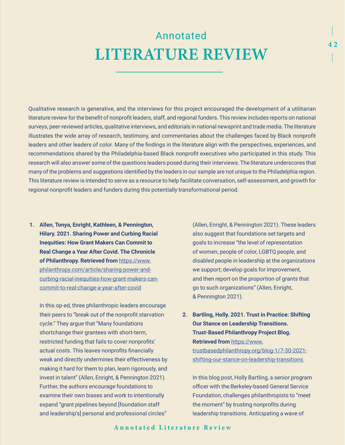# Annotated LITERATURE REVIEW

Qualitative research is generative, and the interviews for this project encouraged the development of a utilitarian literature review for the benefit of nonprofit leaders, staff, and regional funders. This review includes reports on national surveys, peer-reviewed articles, qualitative interviews, and editorials in national newsprint and trade media. The literature illustrates the wide array of research, testimony, and commentaries about the challenges faced by Black nonprofit leaders and other leaders of color. Many of the findings in the literature align with the perspectives, experiences, and recommendations shared by the Philadelphia-based Black nonprofit executives who participated in this study. This research will also answer some of the questions leaders posed during their interviews. The literature underscores that many of the problems and suggestions identified by the leaders in our sample are not unique to the Philadelphia region. This literature review is intended to serve as a resource to help facilitate conversation, self-assessment, and growth for regional nonprofit leaders and funders during this potentially transformational period.

**1. Allen, Tonya, Enright, Kathleen, & Pennington, Hilary. 2021. Sharing Power and Curbing Racial Inequities: How Grant Makers Can Commit to Real Change a Year After Covid. The Chronicle of Philanthropy. Retrieved from** [https://www.](https://www.philanthropy.com/article/sharing-power-and-curbing-racial-inequities-how-grant-makers-can-commit-to-real-change-a-year-after-covid) [philanthropy.com/article/sharing-power-and](https://www.philanthropy.com/article/sharing-power-and-curbing-racial-inequities-how-grant-makers-can-commit-to-real-change-a-year-after-covid)[curbing-racial-inequities-how-grant-makers-can](https://www.philanthropy.com/article/sharing-power-and-curbing-racial-inequities-how-grant-makers-can-commit-to-real-change-a-year-after-covid)[commit-to-real-change-a-year-after-covid](https://www.philanthropy.com/article/sharing-power-and-curbing-racial-inequities-how-grant-makers-can-commit-to-real-change-a-year-after-covid)

In this op-ed, three philanthropic leaders encourage their peers to "break out of the nonprofit starvation cycle." They argue that "Many foundations shortchange their grantees with short-term, restricted funding that fails to cover nonprofits' actual costs. This leaves nonprofits financially weak and directly undermines their effectiveness by making it hard for them to plan, learn rigorously, and invest in talent" (Allen, Enright, & Pennington 2021). Further, the authors encourage foundations to examine their own biases and work to intentionally expand "grant pipelines beyond [foundation staff and leadership's] personal and professional circles"

(Allen, Enright, & Pennington 2021). These leaders also suggest that foundations set targets and goals to increase "the level of representation of women, people of color, LGBTQ people, and disabled people in leadership at the organizations we support; develop goals for improvement, and then report on the proportion of grants that go to such organizations" (Allen, Enright, & Pennington 2021).

**2. Bartling, Holly. 2021. Trust in Practice: Shifting Our Stance on Leadership Transitions. Trust-Based Philanthropy Project Blog. Retrieved from** [https://www.](https://www.trustbasedphilanthropy.org/blog-1/7-30-2021-shifting-our-stance-on-leadership-transitions) [trustbasedphilanthropy.org/blog-1/7-30-2021](https://www.trustbasedphilanthropy.org/blog-1/7-30-2021-shifting-our-stance-on-leadership-transitions) [shifting-our-stance-on-leadership-transitions](https://www.trustbasedphilanthropy.org/blog-1/7-30-2021-shifting-our-stance-on-leadership-transitions) 

In this blog post, Holly Bartling, a senior program officer with the Berkeley-based General Service Foundation, challenges philanthropists to "meet the moment" by trusting nonprofits during leadership transitions. Anticipating a wave of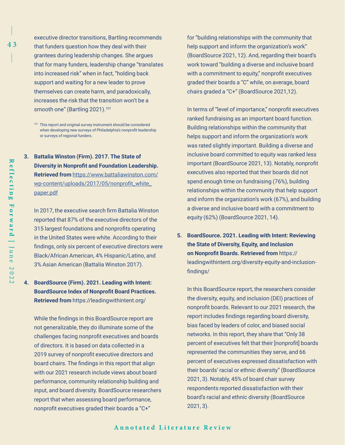executive director transitions, Bartling recommends that funders question how they deal with their grantees during leadership changes. She argues that for many funders, leadership change "translates into increased risk" when in fact, "holding back support and waiting for a new leader to prove themselves can create harm, and paradoxically, increases the risk that the transition won't be a smooth one" (Bartling 2021).<sup>101</sup>

**3. Battalia Winston (Firm). 2017. The State of Diversity in Nonprofit and Foundation Leadership. Retrieved from** [https://www.battaliawinston.com/](https://www.battaliawinston.com/wp-content/uploads/2017/05/nonprofit_white_paper.pdf) [wp-content/uploads/2017/05/nonprofit\\_white\\_](https://www.battaliawinston.com/wp-content/uploads/2017/05/nonprofit_white_paper.pdf) [paper.pdf](https://www.battaliawinston.com/wp-content/uploads/2017/05/nonprofit_white_paper.pdf)

In 2017, the executive search firm Battalia Winston reported that 87% of the executive directors of the 315 largest foundations and nonprofits operating in the United States were white. According to their findings, only six percent of executive directors were Black/African American, 4% Hispanic/Latino, and 3% Asian American (Battalia Winston 2017).

# **4. BoardSource (Firm). 2021. Leading with Intent: BoardSource Index of Nonprofit Board Practices. Retrieved from** https://leadingwithintent.org/

While the findings in this BoardSource report are not generalizable, they do illuminate some of the challenges facing nonprofit executives and boards of directors. It is based on data collected in a 2019 survey of nonprofit executive directors and board chairs. The findings in this report that align with our 2021 research include views about board performance, community relationship building and input, and board diversity. BoardSource researchers report that when assessing board performance, nonprofit executives graded their boards a "C+"

for "building relationships with the community that help support and inform the organization's work" (BoardSource 2021, 12). And, regarding their board's work toward "building a diverse and inclusive board with a commitment to equity," nonprofit executives graded their boards a "C" while, on average, board chairs graded a "C+" (BoardSource 2021,12).

In terms of "level of importance," nonprofit executives ranked fundraising as an important board function. Building relationships within the community that helps support and inform the organization's work was rated slightly important. Building a diverse and inclusive board committed to equity was ranked less important (BoardSource 2021, 13). Notably, nonprofit executives also reported that their boards did not spend enough time on fundraising (76%), building relationships within the community that help support and inform the organization's work (67%), and building a diverse and inclusive board with a commitment to equity (62%) (BoardSource 2021, 14).

**5. BoardSource. 2021. Leading with Intent: Reviewing the State of Diversity, Equity, and Inclusion on Nonprofit Boards. Retrieved from** https:// leadingwithintent.org/diversity-equity-and-inclusionfindings/

In this BoardSource report, the researchers consider the diversity, equity, and inclusion (DEI) practices of nonprofit boards. Relevant to our 2021 research, the report includes findings regarding board diversity, bias faced by leaders of color, and biased social networks. In this report, they share that "Only 38 percent of executives felt that their [nonprofit] boards represented the communities they serve, and 66 percent of executives expressed dissatisfaction with their boards' racial or ethnic diversity" (BoardSource 2021, 3). Notably, 45% of board chair survey respondents reported dissatisfaction with their board's racial and ethnic diversity (BoardSource 2021, 3).

<sup>101</sup> This report and original survey instrument should be considered when developing new surveys of Philadelphia's nonprofit leadership or surveys of regional funders.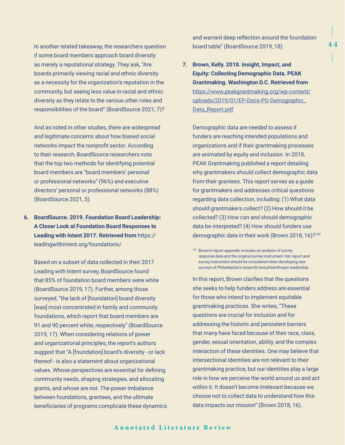In another related takeaway, the researchers question if some board members approach board diversity as merely a reputational strategy. They ask, "Are boards primarily viewing racial and ethnic diversity as a necessity for the organization's reputation in the community, but seeing less value in racial and ethnic diversity as they relate to the various other roles and responsibilities of the board" (BoardSource 2021, 7)?

And as noted in other studies, there are widespread and legitimate concerns about how biased social networks impact the nonprofit sector. According to their research, BoardSource researchers note that the top two methods for identifying potential board members are "board members' personal or professional networks" (96%) and executive directors' personal or professional networks (88%) (BoardSource 2021, 5).

# **6. BoardSource. 2019. Foundation Board Leadership: A Closer Look at Foundation Board Responses to Leading with Intent 2017. Retrieved from** https:// leadingwithintent.org/foundations/

Based on a subset of data collected in their 2017 Leading with Intent survey, BoardSource found that 85% of foundation board members were white (BoardSource 2019, 17). Further, among those surveyed, "the lack of [foundation] board diversity [was] most concentrated in family and community foundations, which report that board members are 91 and 90 percent white, respectively" (BoardSource 2019, 17). When considering relations of power and organizational principles, the report's authors suggest that "A [foundation] board's diversity - or lack thereof - is also a statement about organizational values. Whose perspectives are essential for defining community needs, shaping strategies, and allocating grants, and whose are not. The power imbalance between foundations, grantees, and the ultimate beneficiaries of programs complicate these dynamics

and warrant deep reflection around the foundation board table" (BoardSource 2019, 18).

**7. Brown, Kelly. 2018. Insight, Impact, and Equity: Collecting Demographic Data. PEAK Grantmaking. Washington D.C. Retrieved from**  [https://www.peakgrantmaking.org/wp-content/](https://www.peakgrantmaking.org/wp-content/uploads/2019/01/EP-Docs-PG-Demographic_Data_Report.pdf) [uploads/2019/01/EP-Docs-PG-Demographic\\_](https://www.peakgrantmaking.org/wp-content/uploads/2019/01/EP-Docs-PG-Demographic_Data_Report.pdf) [Data\\_Report.pdf](https://www.peakgrantmaking.org/wp-content/uploads/2019/01/EP-Docs-PG-Demographic_Data_Report.pdf)

Demographic data are needed to assess if funders are reaching intended populations and organizations and if their grantmaking processes are animated by equity and inclusion. In 2018, PEAK Grantmaking published a report detailing why grantmakers should collect demographic data from their grantees. This report serves as a guide for grantmakers and addresses critical questions regarding data collection, including: (1) What data should grantmakers collect? (2) How should it be collected? (3) How can and should demographic data be interpreted? (4) How should funders use demographic data in their work (Brown 2018, 16)?102

In this report, Brown clarifies that the questions she seeks to help funders address are essential for those who intend to implement equitable grantmaking practices. She writes, "These questions are crucial for inclusion and for addressing the historic and persistent barriers that many have faced because of their race, class, gender, sexual orientation, ability, and the complex interaction of these identities. One may believe that intersectional identities are not relevant to their grantmaking practice, but our identities play a large role in how we perceive the world around us and act within it. It doesn't become irrelevant because we choose not to collect data to understand how this data impacts our mission" (Brown 2018, 16).

<sup>102</sup> Brown's report appendix includes an analysis of survey response data and the original survey instrument. Her report and survey instrument should be considered when developing new surveys of Philadelphia's nonprofit and philanthropic leadership.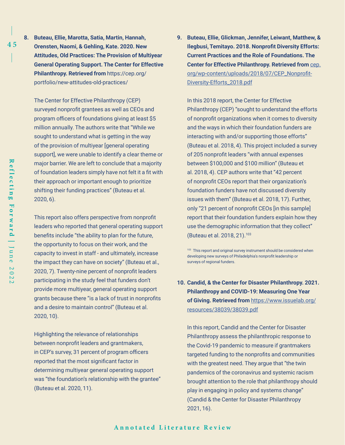**8. Buteau, Ellie, Marotta, Satia, Martin, Hannah, Orensten, Naomi, & Gehling, Kate. 2020. New Attitudes, Old Practices: The Provision of Multiyear General Operating Support. The Center for Effective Philanthropy. Retrieved from** https://cep.org/ portfolio/new-attitudes-old-practices/

The Center for Effective Philanthropy (CEP) surveyed nonprofit grantees as well as CEOs and program officers of foundations giving at least \$5 million annually. The authors write that "While we sought to understand what is getting in the way of the provision of multiyear [general operating support], we were unable to identify a clear theme or major barrier. We are left to conclude that a majority of foundation leaders simply have not felt it a fit with their approach or important enough to prioritize shifting their funding practices" (Buteau et al. 2020, 6).

This report also offers perspective from nonprofit leaders who reported that general operating support benefits include "the ability to plan for the future, the opportunity to focus on their work, and the capacity to invest in staff - and ultimately, increase the impact they can have on society" (Buteau et al., 2020, 7). Twenty-nine percent of nonprofit leaders participating in the study feel that funders don't provide more multiyear, general operating support grants because there "is a lack of trust in nonprofits and a desire to maintain control" (Buteau et al. 2020, 10).

Highlighting the relevance of relationships between nonprofit leaders and grantmakers, in CEP's survey, 31 percent of program officers reported that the most significant factor in determining multiyear general operating support was "the foundation's relationship with the grantee" (Buteau et al. 2020, 11).

**9. Buteau, Ellie, Glickman, Jennifer, Leiwant, Matthew, & Ilegbusi, Temitayo. 2018. Nonprofit Diversity Efforts: Current Practices and the Role of Foundations. The Center for Effective Philanthropy. Retrieved from** [cep.](http://cep.org/wp-content/uploads/2018/07/CEP_Nonprofit-Diversity-Efforts_2018.pdf) [org/wp-content/uploads/2018/07/CEP\\_Nonprofit-](http://cep.org/wp-content/uploads/2018/07/CEP_Nonprofit-Diversity-Efforts_2018.pdf)[Diversity-Efforts\\_2018.pdf](http://cep.org/wp-content/uploads/2018/07/CEP_Nonprofit-Diversity-Efforts_2018.pdf)

In this 2018 report, the Center for Effective Philanthropy (CEP) "sought to understand the efforts of nonprofit organizations when it comes to diversity and the ways in which their foundation funders are interacting with and/or supporting those efforts" (Buteau et al. 2018, 4). This project included a survey of 205 nonprofit leaders "with annual expenses between \$100,000 and \$100 million" (Buteau et al. 2018, 4). CEP authors write that "42 percent of nonprofit CEOs report that their organization's foundation funders have not discussed diversity issues with them" (Buteau et al. 2018, 17). Further, only "21 percent of nonprofit CEOs [in this sample] report that their foundation funders explain how they use the demographic information that they collect" (Buteau et al. 2018, 21).103

103 This report and original survey instrument should be considered when developing new surveys of Philadelphia's nonprofit leadership or surveys of regional funders.

**10. Candid, & the Center for Disaster Philanthropy. 2021. Philanthropy and COVID-19: Measuring One Year of Giving. Retrieved from** [https://www.issuelab.org/](https://www.issuelab.org/resources/38039/38039.pdf) [resources/38039/38039.pdf](https://www.issuelab.org/resources/38039/38039.pdf)

In this report, Candid and the Center for Disaster Philanthropy assess the philanthropic response to the Covid-19 pandemic to measure if grantmakers targeted funding to the nonprofits and communities with the greatest need. They argue that "the twin pandemics of the coronavirus and systemic racism brought attention to the role that philanthropy should play in engaging in policy and systems change" (Candid & the Center for Disaster Philanthropy 2021, 16).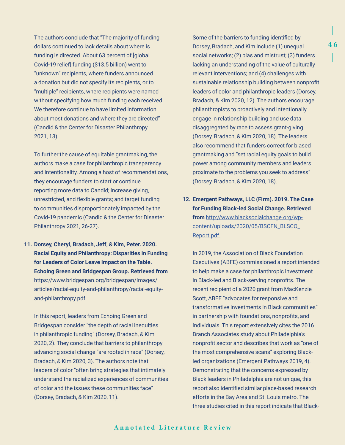The authors conclude that "The majority of funding dollars continued to lack details about where is funding is directed. About 63 percent of [global Covid-19 relief] funding (\$13.5 billion) went to "unknown" recipients, where funders announced a donation but did not specify its recipients, or to "multiple" recipients, where recipients were named without specifying how much funding each received. We therefore continue to have limited information about most donations and where they are directed" (Candid & the Center for Disaster Philanthropy 2021, 13).

To further the cause of equitable grantmaking, the authors make a case for philanthropic transparency and intentionality. Among a host of recommendations, they encourage funders to start or continue reporting more data to Candid; increase giving, unrestricted, and flexible grants; and target funding to communities disproportionately impacted by the Covid-19 pandemic (Candid & the Center for Disaster Philanthropy 2021, 26-27).

**11. Dorsey, Cheryl, Bradach, Jeff, & Kim, Peter. 2020. Racial Equity and Philanthropy: Disparities in Funding for Leaders of Color Leave Impact on the Table. Echoing Green and Bridgespan Group. Retrieved from** https://www.bridgespan.org/bridgespan/Images/ articles/racial-equity-and-philanthropy/racial-equityand-philanthropy.pdf

In this report, leaders from Echoing Green and Bridgespan consider "the depth of racial inequities in philanthropic funding" (Dorsey, Bradach, & Kim 2020, 2). They conclude that barriers to philanthropy advancing social change "are rooted in race" (Dorsey, Bradach, & Kim 2020, 3). The authors note that leaders of color "often bring strategies that intimately understand the racialized experiences of communities of color and the issues these communities face" (Dorsey, Bradach, & Kim 2020, 11).

Some of the barriers to funding identified by Dorsey, Bradach, and Kim include (1) unequal social networks; (2) bias and mistrust; (3) funders lacking an understanding of the value of culturally relevant interventions; and (4) challenges with sustainable relationship building between nonprofit leaders of color and philanthropic leaders (Dorsey, Bradach, & Kim 2020, 12). The authors encourage philanthropists to proactively and intentionally engage in relationship building and use data disaggregated by race to assess grant-giving (Dorsey, Bradach, & Kim 2020, 18). The leaders also recommend that funders correct for biased grantmaking and "set racial equity goals to build power among community members and leaders proximate to the problems you seek to address" (Dorsey, Bradach, & Kim 2020, 18).

**12. Emergent Pathways, LLC (Firm). 2019. The Case for Funding Black-led Social Change. Retrieved from** [http://www.blacksocialchange.org/wp](http://www.blacksocialchange.org/wp-content/uploads/2020/05/BSCFN_BLSCO_Report.pdf)[content/uploads/2020/05/BSCFN\\_BLSCO\\_](http://www.blacksocialchange.org/wp-content/uploads/2020/05/BSCFN_BLSCO_Report.pdf) [Report.pdf](http://www.blacksocialchange.org/wp-content/uploads/2020/05/BSCFN_BLSCO_Report.pdf) 

In 2019, the Association of Black Foundation Executives (ABFE) commissioned a report intended to help make a case for philanthropic investment in Black-led and Black-serving nonprofits. The recent recipient of a 2020 grant from MacKenzie Scott, ABFE "advocates for responsive and transformative investments in Black communities" in partnership with foundations, nonprofits, and individuals. This report extensively cites the 2016 Branch Associates study about Philadelphia's nonprofit sector and describes that work as "one of the most comprehensive scans" exploring Blackled organizations (Emergent Pathways 2019, 4). Demonstrating that the concerns expressed by Black leaders in Philadelphia are not unique, this report also identified similar place-based research efforts in the Bay Area and St. Louis metro. The three studies cited in this report indicate that Black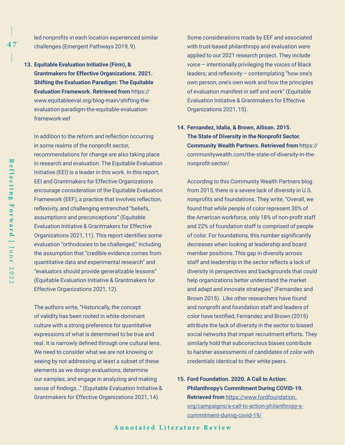led nonprofits in each location experienced similar challenges (Emergent Pathways 2019, 9).

**13. Equitable Evaluation Initiative (Firm), & Grantmakers for Effective Organizations. 2021. Shifting the Evaluation Paradigm: The Equitable Evaluation Framework. Retrieved from** https:// www.equitableeval.org/blog-main/shifting-theevaluation-paradigm-the-equitable-evaluationframework-eef

In addition to the reform and reflection occurring in some realms of the nonprofit sector, recommendations for change are also taking place in research and evaluation. The Equitable Evaluation Initiative (EEI) is a leader in this work. In this report, EEI and Grantmakers for Effective Organizations encourage consideration of the Equitable Evaluation Framework (EEF), a practice that involves reflection, reflexivity, and challenging entrenched "beliefs, assumptions and preconceptions" (Equitable Evaluation Initiative & Grantmakers for Effective Organizations 2021, 11). This report identifies some evaluation "orthodoxies to be challenged," including the assumption that "credible evidence comes from quantitative data and experimental research" and "evaluators should provide generalizable lessons" (Equitable Evaluation Initiative & Grantmakers for Effective Organizations 2021, 12).

The authors write, "Historically, the concept of validity has been rooted in white-dominant culture with a strong preference for quantitative expressions of what is determined to be true and real. It is narrowly defined through one cultural lens. We need to consider what we are not knowing or seeing by not addressing at least a subset of these elements as we design evaluations, determine our samples, and engage in analyzing and making sense of findings…" (Equitable Evaluation Initiative & Grantmakers for Effective Organizations 2021, 14).

Some considerations made by EEF and associated with trust-based philanthropy and evaluation were applied to our 2021 research project. They include voice – intentionally privileging the voices of Black leaders; and reflexivity – contemplating "how one's own person, one's own work and how the principles of evaluation manifest in self and work" (Equitable Evaluation Initiative & Grantmakers for Effective Organizations 2021, 15).

**14. Fernandez, Idalia, & Brown, Allison. 2015. The State of Diversity in the Nonprofit Sector. Community Wealth Partners. Retrieved from** https:// communitywealth.com/the-state-of-diversity-in-thenonprofit-sector/

According to this Community Wealth Partners blog from 2015, there is a severe lack of diversity in U.S. nonprofits and foundations. They write, "Overall, we found that while people of color represent 30% of the American workforce, only 18% of non-profit staff and 22% of foundation staff is comprised of people of color. For foundations, this number significantly decreases when looking at leadership and board member positions. This gap in diversity across staff and leadership in the sector reflects a lack of diversity in perspectives and backgrounds that could help organizations better understand the market and adapt and innovate strategies" (Fernandez and Brown 2015). Like other researchers have found and nonprofit and foundation staff and leaders of color have testified, Fernandez and Brown (2015) attribute the lack of diversity in the sector to biased social networks that impair recruitment efforts. They similarly hold that subconscious biases contribute to harsher assessments of candidates of color with credentials identical to their white peers.

**15. Ford Foundation. 2020. A Call to Action: Philanthropy's Commitment During COVID-19. Retrieved from** [https://www.fordfoundation.](https://www.fordfoundation.org/campaigns/a-call-to-action-philanthropy-s-commitment-during-covid-19/) [org/campaigns/a-call-to-action-philanthropy-s](https://www.fordfoundation.org/campaigns/a-call-to-action-philanthropy-s-commitment-during-covid-19/)[commitment-during-covid-19/](https://www.fordfoundation.org/campaigns/a-call-to-action-philanthropy-s-commitment-during-covid-19/)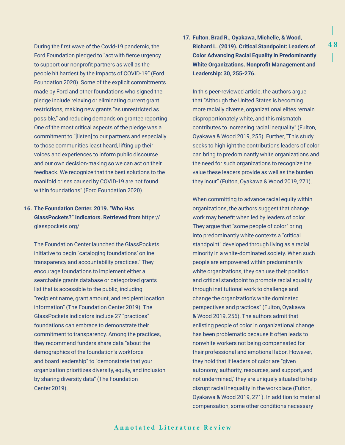During the first wave of the Covid-19 pandemic, the Ford Foundation pledged to "act with fierce urgency to support our nonprofit partners as well as the people hit hardest by the impacts of COVID-19" (Ford Foundation 2020). Some of the explicit commitments made by Ford and other foundations who signed the pledge include relaxing or eliminating current grant restrictions, making new grants "as unrestricted as possible," and reducing demands on grantee reporting. One of the most critical aspects of the pledge was a commitment to "[listen] to our partners and especially to those communities least heard, lifting up their voices and experiences to inform public discourse and our own decision-making so we can act on their feedback. We recognize that the best solutions to the manifold crises caused by COVID-19 are not found within foundations" (Ford Foundation 2020).

# **16. The Foundation Center. 2019. "Who Has GlassPockets?" Indicators. Retrieved from** https:// glasspockets.org/

The Foundation Center launched the GlassPockets initiative to begin "cataloging foundations' online transparency and accountability practices." They encourage foundations to implement either a searchable grants database or categorized grants list that is accessible to the public, including "recipient name, grant amount, and recipient location information" (The Foundation Center 2019). The GlassPockets indicators include 27 "practices" foundations can embrace to demonstrate their commitment to transparency. Among the practices, they recommend funders share data "about the demographics of the foundation's workforce and board leadership" to "demonstrate that your organization prioritizes diversity, equity, and inclusion by sharing diversity data" (The Foundation Center 2019).

# **17. Fulton, Brad R., Oyakawa, Michelle, & Wood, Richard L. (2019). Critical Standpoint: Leaders of Color Advancing Racial Equality in Predominantly White Organizations. Nonprofit Management and Leadership: 30, 255-276.**

In this peer-reviewed article, the authors argue that "Although the United States is becoming more racially diverse, organizational elites remain disproportionately white, and this mismatch contributes to increasing racial inequality" (Fulton, Oyakawa & Wood 2019, 255). Further, "This study seeks to highlight the contributions leaders of color can bring to predominantly white organizations and the need for such organizations to recognize the value these leaders provide as well as the burden they incur" (Fulton, Oyakawa & Wood 2019, 271).

When committing to advance racial equity within organizations, the authors suggest that change work may benefit when led by leaders of color. They argue that "some people of color" bring into predominantly white contexts a "critical standpoint" developed through living as a racial minority in a white-dominated society. When such people are empowered within predominantly white organizations, they can use their position and critical standpoint to promote racial equality through institutional work to challenge and change the organization's white dominated perspectives and practices" (Fulton, Oyakawa & Wood 2019, 256). The authors admit that enlisting people of color in organizational change has been problematic because it often leads to nonwhite workers not being compensated for their professional and emotional labor. However, they hold that if leaders of color are "given autonomy, authority, resources, and support, and not undermined," they are uniquely situated to help disrupt racial inequality in the workplace (Fulton, Oyakawa & Wood 2019, 271). In addition to material compensation, some other conditions necessary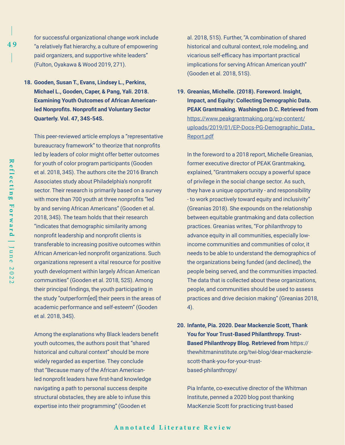- for successful organizational change work include "a relatively flat hierarchy, a culture of empowering paid organizers, and supportive white leaders" (Fulton, Oyakawa & Wood 2019, 271).
- **18. Gooden, Susan T., Evans, Lindsey L., Perkins, Michael L., Gooden, Caper, & Pang, Yali. 2018. Examining Youth Outcomes of African Americanled Nonprofits. Nonprofit and Voluntary Sector Quarterly. Vol. 47, 34S-54S.**

This peer-reviewed article employs a "representative bureaucracy framework" to theorize that nonprofits led by leaders of color might offer better outcomes for youth of color program participants (Gooden et al. 2018, 34S). The authors cite the 2016 Branch Associates study about Philadelphia's nonprofit sector. Their research is primarily based on a survey with more than 700 youth at three nonprofits "led by and serving African Americans" (Gooden et al. 2018, 34S). The team holds that their research "indicates that demographic similarity among nonprofit leadership and nonprofit clients is transferable to increasing positive outcomes within African American-led nonprofit organizations. Such organizations represent a vital resource for positive youth development within largely African American communities" (Gooden et al. 2018, 52S). Among their principal findings, the youth participating in the study "outperform[ed] their peers in the areas of academic performance and self-esteem" (Gooden et al. 2018, 34S).

Among the explanations why Black leaders benefit youth outcomes, the authors posit that "shared historical and cultural context" should be more widely regarded as expertise. They conclude that "Because many of the African Americanled nonprofit leaders have first-hand knowledge navigating a path to personal success despite structural obstacles, they are able to infuse this expertise into their programming" (Gooden et

al. 2018, 51S). Further, "A combination of shared historical and cultural context, role modeling, and vicarious self-efficacy has important practical implications for serving African American youth" (Gooden et al. 2018, 51S).

**19. Greanias, Michelle. (2018). Foreword. Insight, Impact, and Equity: Collecting Demographic Data. PEAK Grantmaking. Washington D.C. Retrieved from**  [https://www.peakgrantmaking.org/wp-content/](https://www.peakgrantmaking.org/wp-content/uploads/2019/01/EP-Docs-PG-Demographic_Data_Report.pdf) [uploads/2019/01/EP-Docs-PG-Demographic\\_Data\\_](https://www.peakgrantmaking.org/wp-content/uploads/2019/01/EP-Docs-PG-Demographic_Data_Report.pdf) [Report.pdf](https://www.peakgrantmaking.org/wp-content/uploads/2019/01/EP-Docs-PG-Demographic_Data_Report.pdf)

In the foreword to a 2018 report, Michelle Greanias, former executive director of PEAK Grantmaking, explained, "Grantmakers occupy a powerful space of privilege in the social change sector. As such, they have a unique opportunity - and responsibility - to work proactively toward equity and inclusivity" (Greanias 2018). She expounds on the relationship between equitable grantmaking and data collection practices. Greanias writes, "For philanthropy to advance equity in all communities, especially lowincome communities and communities of color, it needs to be able to understand the demographics of the organizations being funded (and declined), the people being served, and the communities impacted. The data that is collected about these organizations, people, and communities should be used to assess practices and drive decision making" (Greanias 2018, 4).

**20. Infante, Pia. 2020. Dear Mackenzie Scott, Thank You for Your Trust-Based Philanthropy. Trust-Based Philanthropy Blog. Retrieved from** https:// thewhitmaninstitute.org/twi-blog/dear-mackenziescott-thank-you-for-your-trustbased-philanthropy/

Pia Infante, co-executive director of the Whitman Institute, penned a 2020 blog post thanking MacKenzie Scott for practicing trust-based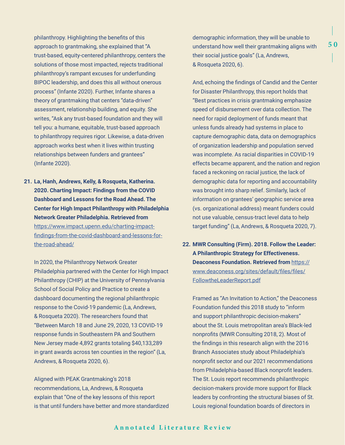philanthropy. Highlighting the benefits of this approach to grantmaking, she explained that "A trust-based, equity-centered philanthropy, centers the solutions of those most impacted, rejects traditional philanthropy's rampant excuses for underfunding BIPOC leadership, and does this all without onerous process" (Infante 2020). Further, Infante shares a theory of grantmaking that centers "data-driven" assessment, relationship building, and equity. She writes, "Ask any trust-based foundation and they will tell you: a humane, equitable, trust-based approach to philanthropy requires rigor. Likewise, a data-driven approach works best when it lives within trusting relationships between funders and grantees" (Infante 2020).

**21. La, Hanh, Andrews, Kelly, & Rosqueta, Katherina. 2020. Charting Impact: Findings from the COVID Dashboard and Lessons for the Road Ahead. The Center for High Impact Philanthropy with Philadelphia Network Greater Philadelphia. Retrieved from** [https://www.impact.upenn.edu/charting-impact](https://www.impact.upenn.edu/charting-impact-findings-from-the-covid-dashboard-and-lessons-for-the-road-ahead/)[findings-from-the-covid-dashboard-and-lessons-for](https://www.impact.upenn.edu/charting-impact-findings-from-the-covid-dashboard-and-lessons-for-the-road-ahead/)[the-road-ahead/](https://www.impact.upenn.edu/charting-impact-findings-from-the-covid-dashboard-and-lessons-for-the-road-ahead/)

In 2020, the Philanthropy Network Greater Philadelphia partnered with the Center for High Impact Philanthropy (CHIP) at the University of Pennsylvania School of Social Policy and Practice to create a dashboard documenting the regional philanthropic response to the Covid-19 pandemic (La, Andrews, & Rosqueta 2020). The researchers found that "Between March 18 and June 29, 2020, 13 COVID-19 response funds in Southeastern PA and Southern New Jersey made 4,892 grants totaling \$40,133,289 in grant awards across ten counties in the region" (La, Andrews, & Rosqueta 2020, 6).

Aligned with PEAK Grantmaking's 2018 recommendations, La, Andrews, & Rosqueta explain that "One of the key lessons of this report is that until funders have better and more standardized demographic information, they will be unable to understand how well their grantmaking aligns with their social justice goals" (La, Andrews, & Rosqueta 2020, 6).

And, echoing the findings of Candid and the Center for Disaster Philanthropy, this report holds that "Best practices in crisis grantmaking emphasize speed of disbursement over data collection. The need for rapid deployment of funds meant that unless funds already had systems in place to capture demographic data, data on demographics of organization leadership and population served was incomplete. As racial disparities in COVID-19 effects became apparent, and the nation and region faced a reckoning on racial justice, the lack of demographic data for reporting and accountability was brought into sharp relief. Similarly, lack of information on grantees' geographic service area (vs. organizational address) meant funders could not use valuable, census-tract level data to help target funding" (La, Andrews, & Rosqueta 2020, 7).

**22. MWR Consulting (Firm). 2018. Follow the Leader: A Philanthropic Strategy for Effectiveness. Deaconess Foundation. Retrieved from** [https://](https://www.deaconess.org/sites/default/files/files/FollowtheLeaderReport.pdf) [www.deaconess.org/sites/default/files/files/](https://www.deaconess.org/sites/default/files/files/FollowtheLeaderReport.pdf) [FollowtheLeaderReport.pdf](https://www.deaconess.org/sites/default/files/files/FollowtheLeaderReport.pdf)

Framed as "An Invitation to Action," the Deaconess Foundation funded this 2018 study to "inform and support philanthropic decision-makers" about the St. Louis metropolitan area's Black-led nonprofits (MWR Consulting 2018, 2). Most of the findings in this research align with the 2016 Branch Associates study about Philadelphia's nonprofit sector and our 2021 recommendations from Philadelphia-based Black nonprofit leaders. The St. Louis report recommends philanthropic decision-makers provide more support for Black leaders by confronting the structural biases of St. Louis regional foundation boards of directors in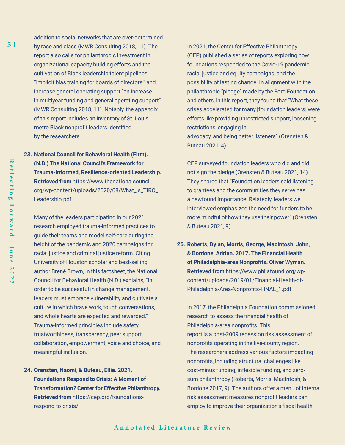addition to social networks that are over-determined by race and class (MWR Consulting 2018, 11). The report also calls for philanthropic investment in organizational capacity building efforts and the cultivation of Black leadership talent pipelines, "implicit bias training for boards of directors," and increase general operating support "an increase in multiyear funding and general operating support" (MWR Consulting 2018, 11). Notably, the appendix of this report includes an inventory of St. Louis metro Black nonprofit leaders identified by the researchers.

**23. National Council for Behavioral Health (Firm). (N.D.) The National Council's Framework for Trauma-informed, Resilience-oriented Leadership. Retrieved from** https://www.thenationalcouncil. org/wp-content/uploads/2020/08/What\_is\_TIRO\_ Leadership.pdf

Many of the leaders participating in our 2021 research employed trauma-informed practices to guide their teams and model self-care during the height of the pandemic and 2020 campaigns for racial justice and criminal justice reform. Citing University of Houston scholar and best-selling author Brené Brown, in this factsheet, the National Council for Behavioral Health (N.D.) explains, "In order to be successful in change management, leaders must embrace vulnerability and cultivate a culture in which brave work, tough conversations, and whole hearts are expected and rewarded." Trauma-informed principles include safety, trustworthiness, transparency, peer support, collaboration, empowerment, voice and choice, and meaningful inclusion.

**24. Orensten, Naomi, & Buteau, Ellie. 2021. Foundations Respond to Crisis: A Moment of Transformation? Center for Effective Philanthropy. Retrieved from** https://cep.org/foundationsrespond-to-crisis/

In 2021, the Center for Effective Philanthropy (CEP) published a series of reports exploring how foundations responded to the Covid-19 pandemic, racial justice and equity campaigns, and the possibility of lasting change. In alignment with the philanthropic "pledge" made by the Ford Foundation and others, in this report, they found that "What these crises accelerated for many [foundation leaders] were efforts like providing unrestricted support, loosening restrictions, engaging in advocacy, and being better listeners" (Orensten & Buteau 2021, 4).

CEP surveyed foundation leaders who did and did not sign the pledge (Orensten & Buteau 2021, 14). They shared that "Foundation leaders said listening to grantees and the communities they serve has a newfound importance. Relatedly, leaders we interviewed emphasized the need for funders to be more mindful of how they use their power" (Orensten & Buteau 2021, 9).

**25. Roberts, Dylan, Morris, George, MacIntosh, John, & Bordone, Adrian. 2017. The Financial Health of Philadelphia-area Nonprofits. Oliver Wyman. Retrieved from** https://www.philafound.org/wpcontent/uploads/2019/01/Financial-Health-of-Philadelphia-Area-Nonprofits-FINAL\_1.pdf

In 2017, the Philadelphia Foundation commissioned research to assess the financial health of Philadelphia-area nonprofits. This report is a post-2009 recession risk assessment of nonprofits operating in the five-county region. The researchers address various factors impacting nonprofits, including structural challenges like cost-minus funding, inflexible funding, and zerosum philanthropy (Roberts, Morris, MacIntosh, & Bordone 2017, 9). The authors offer a menu of internal risk assessment measures nonprofit leaders can employ to improve their organization's fiscal health.

Reflecting

### **Annotated Literature Review Annotated Literature Review**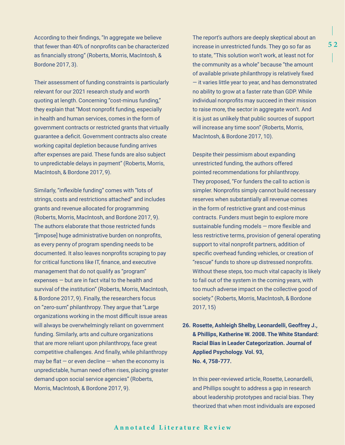According to their findings, "In aggregate we believe that fewer than 40% of nonprofits can be characterized as financially strong" (Roberts, Morris, MacIntosh, & Bordone 2017, 3).

Their assessment of funding constraints is particularly relevant for our 2021 research study and worth quoting at length. Concerning "cost-minus funding," they explain that "Most nonprofit funding, especially in health and human services, comes in the form of government contracts or restricted grants that virtually guarantee a deficit. Government contracts also create working capital depletion because funding arrives after expenses are paid. These funds are also subject to unpredictable delays in payment" (Roberts, Morris, MacIntosh, & Bordone 2017, 9).

Similarly, "inflexible funding" comes with "lots of strings, costs and restrictions attached" and includes grants and revenue allocated for programming (Roberts, Morris, MacIntosh, and Bordone 2017, 9). The authors elaborate that those restricted funds "[impose] huge administrative burden on nonprofits, as every penny of program spending needs to be documented. It also leaves nonprofits scraping to pay for critical functions like IT, finance, and executive management that do not qualify as "program" expenses — but are in fact vital to the health and survival of the institution" (Roberts, Morris, MacIntosh, & Bordone 2017, 9). Finally, the researchers focus on "zero-sum" philanthropy. They argue that "Large organizations working in the most difficult issue areas will always be overwhelmingly reliant on government funding. Similarly, arts and culture organizations that are more reliant upon philanthropy, face great competitive challenges. And finally, while philanthropy may be flat  $-$  or even decline  $-$  when the economy is unpredictable, human need often rises, placing greater demand upon social service agencies" (Roberts, Morris, MacIntosh, & Bordone 2017, 9).

The report's authors are deeply skeptical about an increase in unrestricted funds. They go so far as to state, "This solution won't work, at least not for the community as a whole" because "the amount of available private philanthropy is relatively fixed — it varies little year to year, and has demonstrated no ability to grow at a faster rate than GDP. While individual nonprofits may succeed in their mission to raise more, the sector in aggregate won't. And it is just as unlikely that public sources of support will increase any time soon" (Roberts, Morris, MacIntosh, & Bordone 2017, 10).

Despite their pessimism about expanding unrestricted funding, the authors offered pointed recommendations for philanthropy. They proposed, "For funders the call to action is simpler. Nonprofits simply cannot build necessary reserves when substantially all revenue comes in the form of restrictive grant and cost-minus contracts. Funders must begin to explore more sustainable funding models — more flexible and less restrictive terms, provision of general operating support to vital nonprofit partners, addition of specific overhead funding vehicles, or creation of "rescue" funds to shore up distressed nonprofits. Without these steps, too much vital capacity is likely to fail out of the system in the coming years, with too much adverse impact on the collective good of society." (Roberts, Morris, MacIntosh, & Bordone 2017, 15)

**26. Rosette, Ashleigh Shelby, Leonardelli, Geoffrey J., & Phillips, Katherine W. 2008. The White Standard: Racial Bias in Leader Categorization. Journal of Applied Psychology. Vol. 93, No. 4, 758-777.** 

In this peer-reviewed article, Rosette, Leonardelli, and Phillips sought to address a gap in research about leadership prototypes and racial bias. They theorized that when most individuals are exposed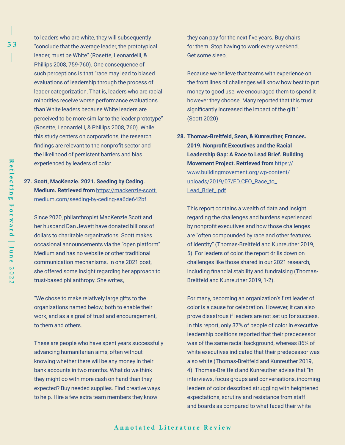to leaders who are white, they will subsequently "conclude that the average leader, the prototypical leader, must be White" (Rosette, Leonardelli, & Phillips 2008, 759-760). One consequence of such perceptions is that "race may lead to biased evaluations of leadership through the process of leader categorization. That is, leaders who are racial minorities receive worse performance evaluations than White leaders because White leaders are perceived to be more similar to the leader prototype" (Rosette, Leonardelli, & Phillips 2008, 760). While this study centers on corporations, the research findings are relevant to the nonprofit sector and the likelihood of persistent barriers and bias experienced by leaders of color.

## **27. Scott, MacKenzie. 2021. Seeding by Ceding. Medium. Retrieved from** [https://mackenzie-scott.](https://mackenzie-scott.medium.com/seeding-by-ceding-ea6de642bf) [medium.com/seeding-by-ceding-ea6de642bf](https://mackenzie-scott.medium.com/seeding-by-ceding-ea6de642bf)

Since 2020, philanthropist MacKenzie Scott and her husband Dan Jewett have donated billions of dollars to charitable organizations. Scott makes occasional announcements via the "open platform" Medium and has no website or other traditional communication mechanisms. In one 2021 post, she offered some insight regarding her approach to trust-based philanthropy. She writes,

"We chose to make relatively large gifts to the organizations named below, both to enable their work, and as a signal of trust and encouragement, to them and others.

These are people who have spent years successfully advancing humanitarian aims, often without knowing whether there will be any money in their bank accounts in two months. What do we think they might do with more cash on hand than they expected? Buy needed supplies. Find creative ways to help. Hire a few extra team members they know

they can pay for the next five years. Buy chairs for them. Stop having to work every weekend. Get some sleep.

Because we believe that teams with experience on the front lines of challenges will know how best to put money to good use, we encouraged them to spend it however they choose. Many reported that this trust significantly increased the impact of the gift." (Scott 2020)

**28. Thomas-Breitfeld, Sean, & Kunreuther, Frances. 2019. Nonprofit Executives and the Racial Leadership Gap: A Race to Lead Brief. Building Movement Project. Retrieved from** [https://](https://www.buildingmovement.org/wp-content/uploads/2019/07/ED.CEO_Race_to_Lead_Brief_.pdf) [www.buildingmovement.org/wp-content/](https://www.buildingmovement.org/wp-content/uploads/2019/07/ED.CEO_Race_to_Lead_Brief_.pdf) [uploads/2019/07/ED.CEO\\_Race\\_to\\_](https://www.buildingmovement.org/wp-content/uploads/2019/07/ED.CEO_Race_to_Lead_Brief_.pdf) [Lead\\_Brief\\_.pdf](https://www.buildingmovement.org/wp-content/uploads/2019/07/ED.CEO_Race_to_Lead_Brief_.pdf)

This report contains a wealth of data and insight regarding the challenges and burdens experienced by nonprofit executives and how those challenges are "often compounded by race and other features of identity" (Thomas-Breitfeld and Kunreuther 2019, 5). For leaders of color, the report drills down on challenges like those shared in our 2021 research, including financial stability and fundraising (Thomas-Breitfeld and Kunreuther 2019, 1-2).

For many, becoming an organization's first leader of color is a cause for celebration. However, it can also prove disastrous if leaders are not set up for success. In this report, only 37% of people of color in executive leadership positions reported that their predecessor was of the same racial background, whereas 86% of white executives indicated that their predecessor was also white (Thomas-Breitfeld and Kunreuther 2019, 4). Thomas-Breitfeld and Kunreuther advise that "In interviews, focus groups and conversations, incoming leaders of color described struggling with heightened expectations, scrutiny and resistance from staff and boards as compared to what faced their white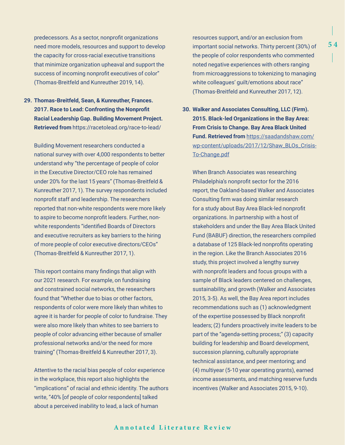predecessors. As a sector, nonprofit organizations need more models, resources and support to develop the capacity for cross-racial executive transitions that minimize organization upheaval and support the success of incoming nonprofit executives of color" (Thomas-Breitfeld and Kunreuther 2019, 14).

**29. Thomas-Breitfeld, Sean, & Kunreuther, Frances. 2017. Race to Lead: Confronting the Nonprofit Racial Leadership Gap. Building Movement Project. Retrieved from** https://racetolead.org/race-to-lead/

Building Movement researchers conducted a national survey with over 4,000 respondents to better understand why "the percentage of people of color in the Executive Director/CEO role has remained under 20% for the last 15 years" (Thomas-Breitfeld & Kunreuther 2017, 1). The survey respondents included nonprofit staff and leadership. The researchers reported that non-white respondents were more likely to aspire to become nonprofit leaders. Further, nonwhite respondents "identified Boards of Directors and executive recruiters as key barriers to the hiring of more people of color executive directors/CEOs" (Thomas-Breitfeld & Kunreuther 2017, 1).

This report contains many findings that align with our 2021 research. For example, on fundraising and constrained social networks, the researchers found that "Whether due to bias or other factors, respondents of color were more likely than whites to agree it is harder for people of color to fundraise. They were also more likely than whites to see barriers to people of color advancing either because of smaller professional networks and/or the need for more training" (Thomas-Breitfeld & Kunreuther 2017, 3).

Attentive to the racial bias people of color experience in the workplace, this report also highlights the "implications" of racial and ethnic identity. The authors write, "40% [of people of color respondents] talked about a perceived inability to lead, a lack of human

resources support, and/or an exclusion from important social networks. Thirty percent (30%) of the people of color respondents who commented noted negative experiences with others ranging from microaggressions to tokenizing to managing white colleagues' guilt/emotions about race" (Thomas-Breitfeld and Kunreuther 2017, 12).

**30. Walker and Associates Consulting, LLC (Firm). 2015. Black-led Organizations in the Bay Area: From Crisis to Change. Bay Area Black United Fund. Retrieved from** [https://saadandshaw.com/](https://saadandshaw.com/wp-content/uploads/2017/12/Shaw_BLOs_Crisis-To-Change.pdf) [wp-content/uploads/2017/12/Shaw\\_BLOs\\_Crisis-](https://saadandshaw.com/wp-content/uploads/2017/12/Shaw_BLOs_Crisis-To-Change.pdf)[To-Change.pdf](https://saadandshaw.com/wp-content/uploads/2017/12/Shaw_BLOs_Crisis-To-Change.pdf)

When Branch Associates was researching Philadelphia's nonprofit sector for the 2016 report, the Oakland-based Walker and Associates Consulting firm was doing similar research for a study about Bay Area Black-led nonprofit organizations. In partnership with a host of stakeholders and under the Bay Area Black United Fund (BABUF) direction, the researchers compiled a database of 125 Black-led nonprofits operating in the region. Like the Branch Associates 2016 study, this project involved a lengthy survey with nonprofit leaders and focus groups with a sample of Black leaders centered on challenges, sustainability, and growth (Walker and Associates 2015, 3-5). As well, the Bay Area report includes recommendations such as (1) acknowledgment of the expertise possessed by Black nonprofit leaders; (2) funders proactively invite leaders to be part of the "agenda-setting process;" (3) capacity building for leadership and Board development, succession planning, culturally appropriate technical assistance, and peer mentoring; and (4) multiyear (5-10 year operating grants), earned income assessments, and matching reserve funds incentives (Walker and Associates 2015, 9-10).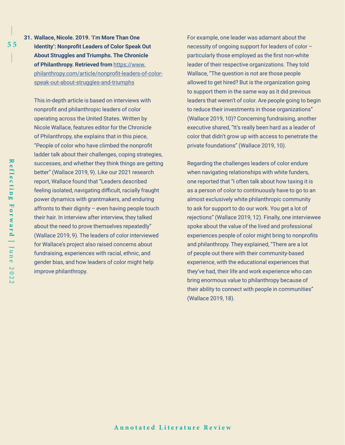**31. Wallace, Nicole. 2019. 'I'm More Than One Identity': Nonprofit Leaders of Color Speak Out About Struggles and Triumphs. The Chronicle of Philanthropy. Retrieved from** [https://www.](https://www.philanthropy.com/article/nonprofit-leaders-of-color-speak-out-about-struggles-and-triumphs) [philanthropy.com/article/nonprofit-leaders-of-color](https://www.philanthropy.com/article/nonprofit-leaders-of-color-speak-out-about-struggles-and-triumphs)[speak-out-about-struggles-and-triumphs](https://www.philanthropy.com/article/nonprofit-leaders-of-color-speak-out-about-struggles-and-triumphs)

This in-depth article is based on interviews with nonprofit and philanthropic leaders of color operating across the United States. Written by Nicole Wallace, features editor for the Chronicle of Philanthropy, she explains that in this piece, "People of color who have climbed the nonprofit ladder talk about their challenges, coping strategies, successes, and whether they think things are getting better" (Wallace 2019, 9). Like our 2021 research report, Wallace found that "Leaders described feeling isolated, navigating difficult, racially fraught power dynamics with grantmakers, and enduring affronts to their dignity – even having people touch their hair. In interview after interview, they talked about the need to prove themselves repeatedly" (Wallace 2019, 9). The leaders of color interviewed for Wallace's project also raised concerns about fundraising, experiences with racial, ethnic, and gender bias, and how leaders of color might help improve philanthropy.

For example, one leader was adamant about the necessity of ongoing support for leaders of color – particularly those employed as the first non-white leader of their respective organizations. They told Wallace, "The question is not are those people allowed to get hired? But is the organization going to support them in the same way as it did previous leaders that weren't of color. Are people going to begin to reduce their investments in those organizations" (Wallace 2019, 10)? Concerning fundraising, another executive shared, "It's really been hard as a leader of color that didn't grow up with access to penetrate the private foundations" (Wallace 2019, 10).

Regarding the challenges leaders of color endure when navigating relationships with white funders, one reported that "I often talk about how taxing it is as a person of color to continuously have to go to an almost exclusively white philanthropic community to ask for support to do our work. You get a lot of rejections" (Wallace 2019, 12). Finally, one interviewee spoke about the value of the lived and professional experiences people of color might bring to nonprofits and philanthropy. They explained, "There are a lot of people out there with their community-based experience, with the educational experiences that they've had, their life and work experience who can bring enormous value to philanthropy because of their ability to connect with people in communities" (Wallace 2019, 18).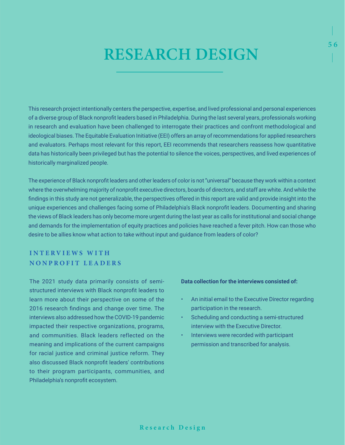# RESEARCH DESIGN

This research project intentionally centers the perspective, expertise, and lived professional and personal experiences of a diverse group of Black nonprofit leaders based in Philadelphia. During the last several years, professionals working in research and evaluation have been challenged to interrogate their practices and confront methodological and ideological biases. The Equitable Evaluation Initiative (EEI) offers an array of recommendations for applied researchers and evaluators. Perhaps most relevant for this report, EEI recommends that researchers reassess how quantitative data has historically been privileged but has the potential to silence the voices, perspectives, and lived experiences of historically marginalized people.

The experience of Black nonprofit leaders and other leaders of color is not "universal" because they work within a context where the overwhelming majority of nonprofit executive directors, boards of directors, and staff are white. And while the findings in this study are not generalizable, the perspectives offered in this report are valid and provide insight into the unique experiences and challenges facing some of Philadelphia's Black nonprofit leaders. Documenting and sharing the views of Black leaders has only become more urgent during the last year as calls for institutional and social change and demands for the implementation of equity practices and policies have reached a fever pitch. How can those who desire to be allies know what action to take without input and guidance from leaders of color?

# **I N T E R V I E W S W I T H NONPROFIT LEADERS**

The 2021 study data primarily consists of semistructured interviews with Black nonprofit leaders to learn more about their perspective on some of the 2016 research findings and change over time. The interviews also addressed how the COVID-19 pandemic impacted their respective organizations, programs, and communities. Black leaders reflected on the meaning and implications of the current campaigns for racial justice and criminal justice reform. They also discussed Black nonprofit leaders' contributions to their program participants, communities, and Philadelphia's nonprofit ecosystem.

### **Data collection for the interviews consisted of:**

• An initial email to the Executive Director regarding participation in the research.

- Scheduling and conducting a semi-structured interview with the Executive Director.
- Interviews were recorded with participant permission and transcribed for analysis.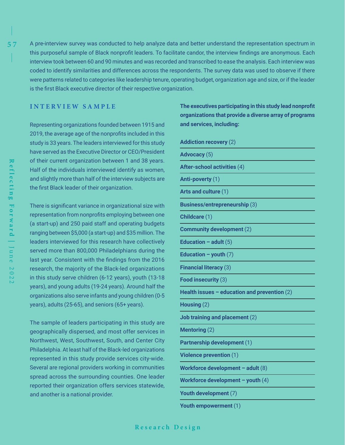A pre-interview survey was conducted to help analyze data and better understand the representation spectrum in this purposeful sample of Black nonprofit leaders. To facilitate candor, the interview findings are anonymous. Each interview took between 60 and 90 minutes and was recorded and transcribed to ease the analysis. Each interview was coded to identify similarities and differences across the respondents. The survey data was used to observe if there were patterns related to categories like leadership tenure, operating budget, organization age and size, or if the leader is the first Black executive director of their respective organization.

## **INTERVIEW SAMPLE**

Representing organizations founded between 1915 and 2019, the average age of the nonprofits included in this study is 33 years. The leaders interviewed for this study have served as the Executive Director or CEO/President of their current organization between 1 and 38 years. Half of the individuals interviewed identify as women, and slightly more than half of the interview subjects are the first Black leader of their organization.

There is significant variance in organizational size with representation from nonprofits employing between one (a start-up) and 250 paid staff and operating budgets ranging between \$5,000 (a start-up) and \$35 million. The leaders interviewed for this research have collectively served more than 800,000 Philadelphians during the last year. Consistent with the findings from the 2016 research, the majority of the Black-led organizations in this study serve children (6-12 years), youth (13-18 years), and young adults (19-24 years). Around half the organizations also serve infants and young children (0-5 years), adults (25-65), and seniors (65+ years).

The sample of leaders participating in this study are geographically dispersed, and most offer services in Northwest, West, Southwest, South, and Center City Philadelphia. At least half of the Black-led organizations represented in this study provide services city-wide. Several are regional providers working in communities spread across the surrounding counties. One leader reported their organization offers services statewide, and another is a national provider.

**The executives participating in this study lead nonprofit organizations that provide a diverse array of programs and services, including:** 

|  | <b>Addiction recovery (2)</b> |  |
|--|-------------------------------|--|
|  |                               |  |

**Advocacy** (5) **After-school activities** (4) **Anti-poverty** (1) **Arts and culture** (1) **Business/entrepreneurship** (3) **Childcare** (1) **Community development** (2) **Education – adult** (5) **Education – youth** (7) **Financial literacy** (3)

**Food insecurity** (3)

**Health issues – education and prevention** (2)

**Housing** (2)

**Job training and placement** (2)

**Mentoring** (2)

**Partnership development** (1)

**Violence prevention** (1)

**Workforce development – adult** (8)

**Workforce development – youth** (4)

- **Youth development** (7)
- **Youth empowerment** (1)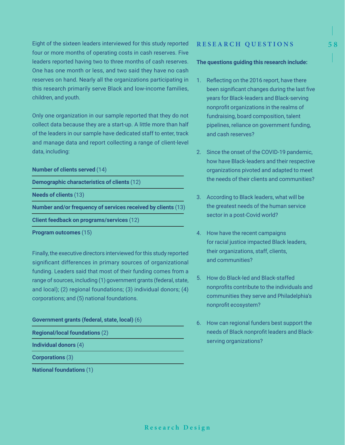Eight of the sixteen leaders interviewed for this study reported four or more months of operating costs in cash reserves. Five leaders reported having two to three months of cash reserves. One has one month or less, and two said they have no cash reserves on hand. Nearly all the organizations participating in this research primarily serve Black and low-income families, children, and youth.

Only one organization in our sample reported that they do not collect data because they are a start-up. A little more than half of the leaders in our sample have dedicated staff to enter, track and manage data and report collecting a range of client-level data, including:

### **Number of clients served** (14)

**Demographic characteristics of clients** (12)

**Needs of clients** (13)

**Number and/or frequency of services received by clients** (13)

**Client feedback on programs/services** (12)

**Program outcomes** (15)

Finally, the executive directors interviewed for this study reported significant differences in primary sources of organizational funding. Leaders said that most of their funding comes from a range of sources, including (1) government grants (federal, state, and local); (2) regional foundations; (3) individual donors; (4) corporations; and (5) national foundations.

### **Government grants (federal, state, local)** (6)

**Regional/local foundations** (2)

**Individual donors** (4)

**Corporations** (3)

**National foundations** (1)

### **RESEARCH QUESTIONS**

### **The questions guiding this research include:**

- 1. Reflecting on the 2016 report, have there been significant changes during the last five years for Black-leaders and Black-serving nonprofit organizations in the realms of fundraising, board composition, talent pipelines, reliance on government funding, and cash reserves?
- 2. Since the onset of the COVID-19 pandemic, how have Black-leaders and their respective organizations pivoted and adapted to meet the needs of their clients and communities?
- 3. According to Black leaders, what will be the greatest needs of the human service sector in a post-Covid world?
- 4. How have the recent campaigns for racial justice impacted Black leaders, their organizations, staff, clients, and communities?
- 5. How do Black-led and Black-staffed nonprofits contribute to the individuals and communities they serve and Philadelphia's nonprofit ecosystem?
- 6. How can regional funders best support the needs of Black nonprofit leaders and Blackserving organizations?